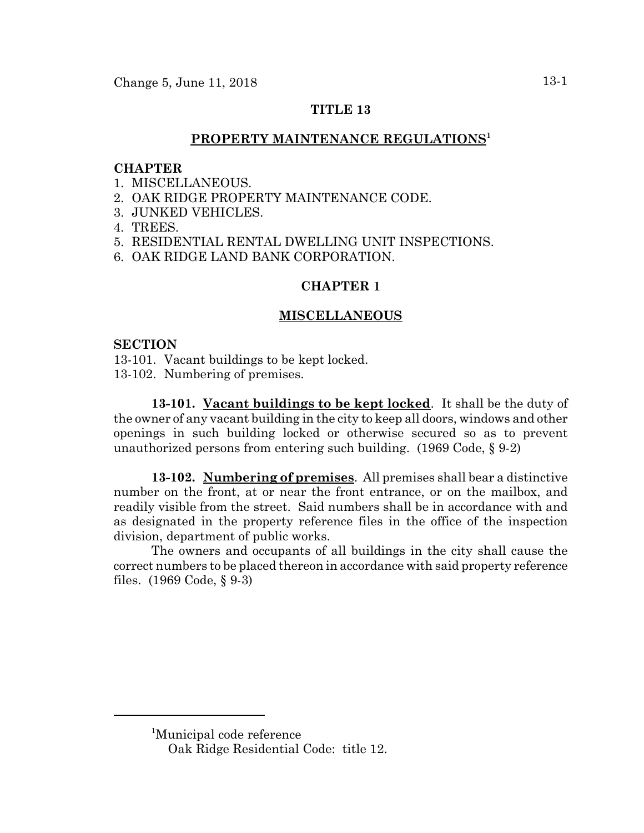# **TITLE 13**

# **PROPERTY MAINTENANCE REGULATIONS1**

### **CHAPTER**

- 1. MISCELLANEOUS.
- 2. OAK RIDGE PROPERTY MAINTENANCE CODE.
- 3. JUNKED VEHICLES.
- 4. TREES.
- 5. RESIDENTIAL RENTAL DWELLING UNIT INSPECTIONS.
- 6. OAK RIDGE LAND BANK CORPORATION.

# **CHAPTER 1**

### **MISCELLANEOUS**

### **SECTION**

13-101. Vacant buildings to be kept locked. 13-102. Numbering of premises.

**13-101. Vacant buildings to be kept locked**. It shall be the duty of the owner of any vacant building in the city to keep all doors, windows and other openings in such building locked or otherwise secured so as to prevent unauthorized persons from entering such building. (1969 Code, § 9-2)

**13-102. Numbering of premises**. All premises shall bear a distinctive number on the front, at or near the front entrance, or on the mailbox, and readily visible from the street. Said numbers shall be in accordance with and as designated in the property reference files in the office of the inspection division, department of public works.

The owners and occupants of all buildings in the city shall cause the correct numbers to be placed thereon in accordance with said property reference files. (1969 Code, § 9-3)

<sup>1</sup> Municipal code reference

Oak Ridge Residential Code: title 12.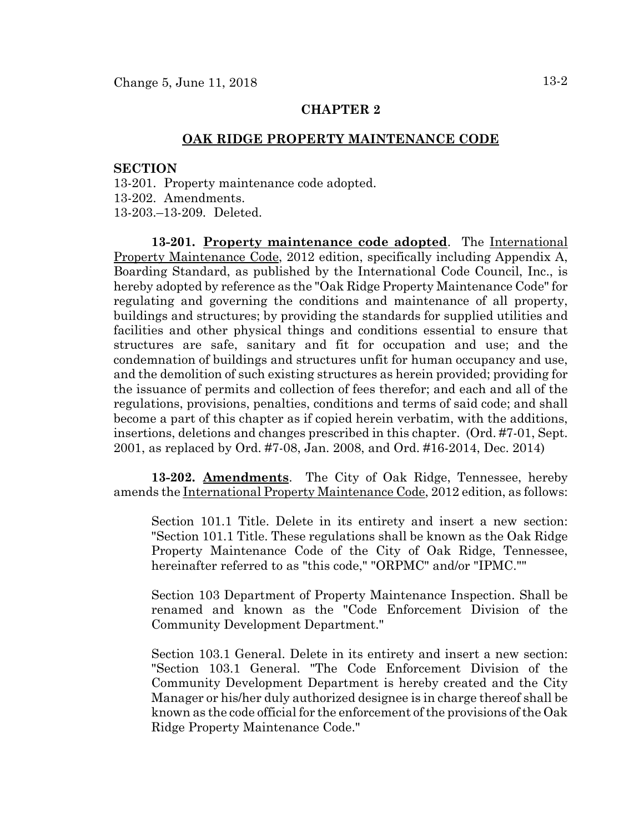### **CHAPTER 2**

### **OAK RIDGE PROPERTY MAINTENANCE CODE**

#### **SECTION**

13-201. Property maintenance code adopted. 13-202. Amendments. 13-203.–13-209. Deleted.

**13-201. Property maintenance code adopted**. The International Property Maintenance Code, 2012 edition, specifically including Appendix A, Boarding Standard, as published by the International Code Council, Inc., is hereby adopted by reference as the "Oak Ridge Property Maintenance Code" for regulating and governing the conditions and maintenance of all property, buildings and structures; by providing the standards for supplied utilities and facilities and other physical things and conditions essential to ensure that structures are safe, sanitary and fit for occupation and use; and the condemnation of buildings and structures unfit for human occupancy and use, and the demolition of such existing structures as herein provided; providing for the issuance of permits and collection of fees therefor; and each and all of the regulations, provisions, penalties, conditions and terms of said code; and shall become a part of this chapter as if copied herein verbatim, with the additions, insertions, deletions and changes prescribed in this chapter. (Ord. #7-01, Sept. 2001, as replaced by Ord. #7-08, Jan. 2008, and Ord. #16-2014, Dec. 2014)

**13-202. Amendments**. The City of Oak Ridge, Tennessee, hereby amends the International Property Maintenance Code, 2012 edition, as follows:

Section 101.1 Title. Delete in its entirety and insert a new section: "Section 101.1 Title. These regulations shall be known as the Oak Ridge Property Maintenance Code of the City of Oak Ridge, Tennessee, hereinafter referred to as "this code," "ORPMC" and/or "IPMC.""

Section 103 Department of Property Maintenance Inspection. Shall be renamed and known as the "Code Enforcement Division of the Community Development Department."

Section 103.1 General. Delete in its entirety and insert a new section: "Section 103.1 General. "The Code Enforcement Division of the Community Development Department is hereby created and the City Manager or his/her duly authorized designee is in charge thereof shall be known as the code official for the enforcement of the provisions of the Oak Ridge Property Maintenance Code."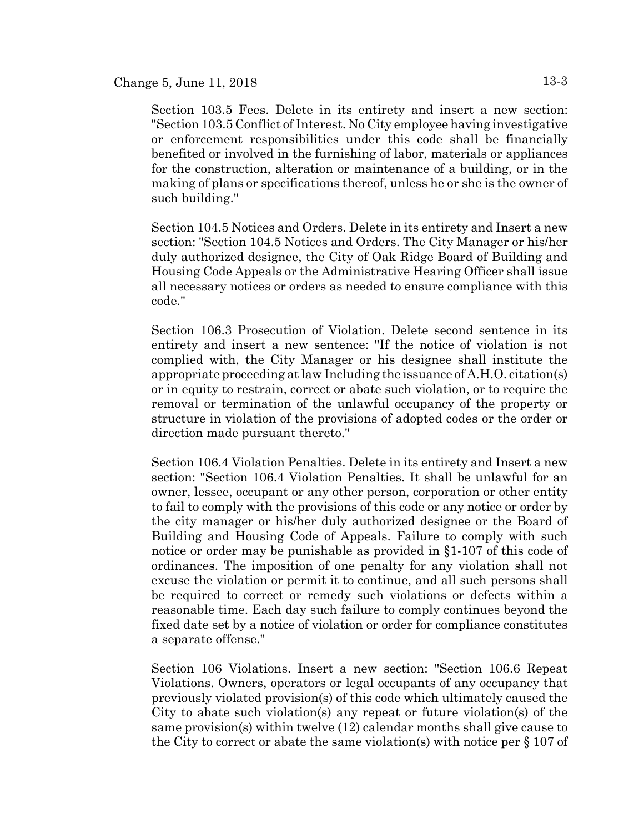Section 103.5 Fees. Delete in its entirety and insert a new section: "Section 103.5 Conflict of Interest. No City employee having investigative or enforcement responsibilities under this code shall be financially benefited or involved in the furnishing of labor, materials or appliances for the construction, alteration or maintenance of a building, or in the making of plans or specifications thereof, unless he or she is the owner of such building."

Section 104.5 Notices and Orders. Delete in its entirety and Insert a new section: "Section 104.5 Notices and Orders. The City Manager or his/her duly authorized designee, the City of Oak Ridge Board of Building and Housing Code Appeals or the Administrative Hearing Officer shall issue all necessary notices or orders as needed to ensure compliance with this code."

Section 106.3 Prosecution of Violation. Delete second sentence in its entirety and insert a new sentence: "If the notice of violation is not complied with, the City Manager or his designee shall institute the appropriate proceeding at law Including the issuance of A.H.O. citation(s) or in equity to restrain, correct or abate such violation, or to require the removal or termination of the unlawful occupancy of the property or structure in violation of the provisions of adopted codes or the order or direction made pursuant thereto."

Section 106.4 Violation Penalties. Delete in its entirety and Insert a new section: "Section 106.4 Violation Penalties. It shall be unlawful for an owner, lessee, occupant or any other person, corporation or other entity to fail to comply with the provisions of this code or any notice or order by the city manager or his/her duly authorized designee or the Board of Building and Housing Code of Appeals. Failure to comply with such notice or order may be punishable as provided in §1-107 of this code of ordinances. The imposition of one penalty for any violation shall not excuse the violation or permit it to continue, and all such persons shall be required to correct or remedy such violations or defects within a reasonable time. Each day such failure to comply continues beyond the fixed date set by a notice of violation or order for compliance constitutes a separate offense."

Section 106 Violations. Insert a new section: "Section 106.6 Repeat Violations. Owners, operators or legal occupants of any occupancy that previously violated provision(s) of this code which ultimately caused the City to abate such violation(s) any repeat or future violation(s) of the same provision(s) within twelve (12) calendar months shall give cause to the City to correct or abate the same violation(s) with notice per  $\S 107$  of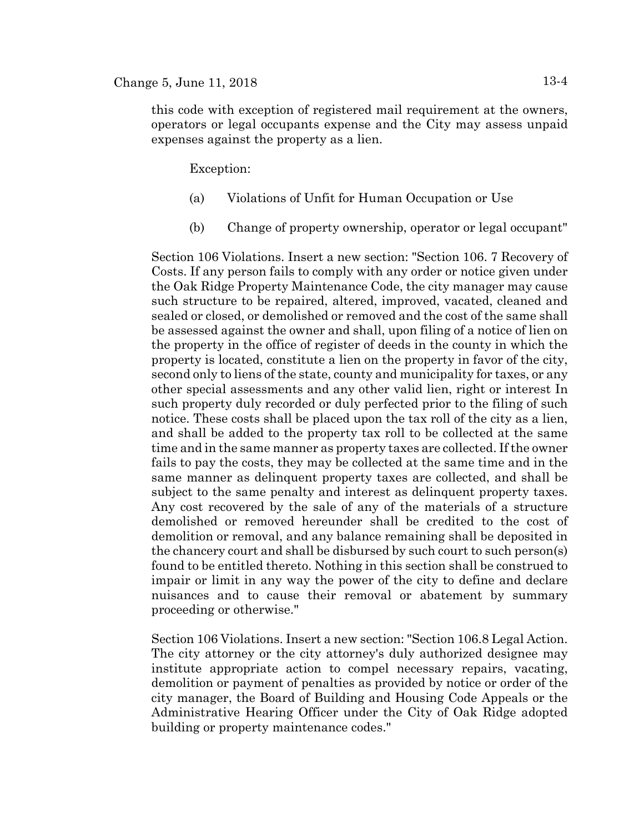# Change 5, June 11, 2018  $13-4$

this code with exception of registered mail requirement at the owners, operators or legal occupants expense and the City may assess unpaid expenses against the property as a lien.

Exception:

- (a) Violations of Unfit for Human Occupation or Use
- (b) Change of property ownership, operator or legal occupant"

Section 106 Violations. Insert a new section: "Section 106. 7 Recovery of Costs. If any person fails to comply with any order or notice given under the Oak Ridge Property Maintenance Code, the city manager may cause such structure to be repaired, altered, improved, vacated, cleaned and sealed or closed, or demolished or removed and the cost of the same shall be assessed against the owner and shall, upon filing of a notice of lien on the property in the office of register of deeds in the county in which the property is located, constitute a lien on the property in favor of the city, second only to liens of the state, county and municipality for taxes, or any other special assessments and any other valid lien, right or interest In such property duly recorded or duly perfected prior to the filing of such notice. These costs shall be placed upon the tax roll of the city as a lien, and shall be added to the property tax roll to be collected at the same time and in the same manner as property taxes are collected. If the owner fails to pay the costs, they may be collected at the same time and in the same manner as delinquent property taxes are collected, and shall be subject to the same penalty and interest as delinquent property taxes. Any cost recovered by the sale of any of the materials of a structure demolished or removed hereunder shall be credited to the cost of demolition or removal, and any balance remaining shall be deposited in the chancery court and shall be disbursed by such court to such person(s) found to be entitled thereto. Nothing in this section shall be construed to impair or limit in any way the power of the city to define and declare nuisances and to cause their removal or abatement by summary proceeding or otherwise."

Section 106 Violations. Insert a new section: "Section 106.8 Legal Action. The city attorney or the city attorney's duly authorized designee may institute appropriate action to compel necessary repairs, vacating, demolition or payment of penalties as provided by notice or order of the city manager, the Board of Building and Housing Code Appeals or the Administrative Hearing Officer under the City of Oak Ridge adopted building or property maintenance codes."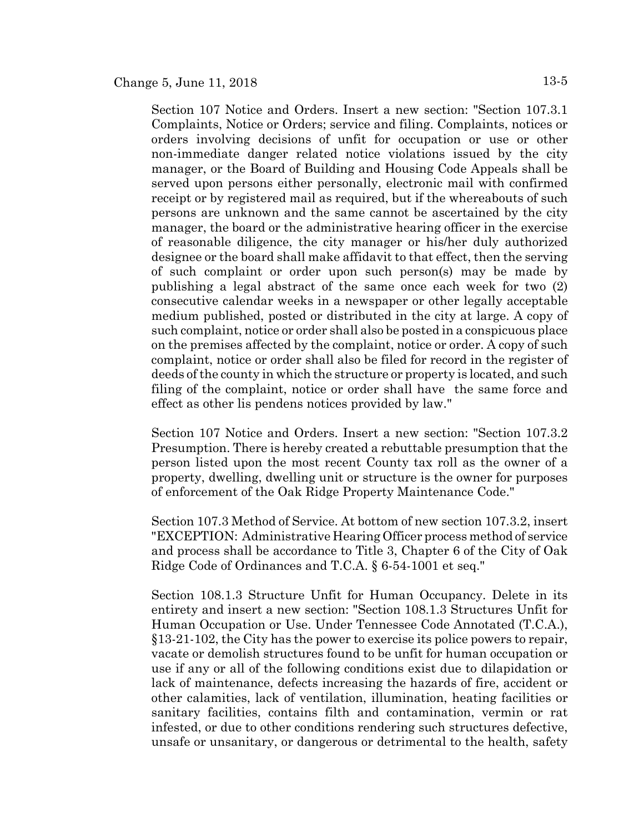Section 107 Notice and Orders. Insert a new section: "Section 107.3.1 Complaints, Notice or Orders; service and filing. Complaints, notices or orders involving decisions of unfit for occupation or use or other non-immediate danger related notice violations issued by the city manager, or the Board of Building and Housing Code Appeals shall be served upon persons either personally, electronic mail with confirmed receipt or by registered mail as required, but if the whereabouts of such persons are unknown and the same cannot be ascertained by the city manager, the board or the administrative hearing officer in the exercise of reasonable diligence, the city manager or his/her duly authorized designee or the board shall make affidavit to that effect, then the serving of such complaint or order upon such person(s) may be made by publishing a legal abstract of the same once each week for two (2) consecutive calendar weeks in a newspaper or other legally acceptable medium published, posted or distributed in the city at large. A copy of such complaint, notice or order shall also be posted in a conspicuous place on the premises affected by the complaint, notice or order. A copy of such complaint, notice or order shall also be filed for record in the register of deeds of the county in which the structure or property is located, and such filing of the complaint, notice or order shall have the same force and effect as other lis pendens notices provided by law."

Section 107 Notice and Orders. Insert a new section: "Section 107.3.2 Presumption. There is hereby created a rebuttable presumption that the person listed upon the most recent County tax roll as the owner of a property, dwelling, dwelling unit or structure is the owner for purposes of enforcement of the Oak Ridge Property Maintenance Code."

Section 107.3 Method of Service. At bottom of new section 107.3.2, insert "EXCEPTION: Administrative Hearing Officer process method of service and process shall be accordance to Title 3, Chapter 6 of the City of Oak Ridge Code of Ordinances and T.C.A. § 6-54-1001 et seq."

Section 108.1.3 Structure Unfit for Human Occupancy. Delete in its entirety and insert a new section: "Section 108.1.3 Structures Unfit for Human Occupation or Use. Under Tennessee Code Annotated (T.C.A.), §13-21-102, the City has the power to exercise its police powers to repair, vacate or demolish structures found to be unfit for human occupation or use if any or all of the following conditions exist due to dilapidation or lack of maintenance, defects increasing the hazards of fire, accident or other calamities, lack of ventilation, illumination, heating facilities or sanitary facilities, contains filth and contamination, vermin or rat infested, or due to other conditions rendering such structures defective, unsafe or unsanitary, or dangerous or detrimental to the health, safety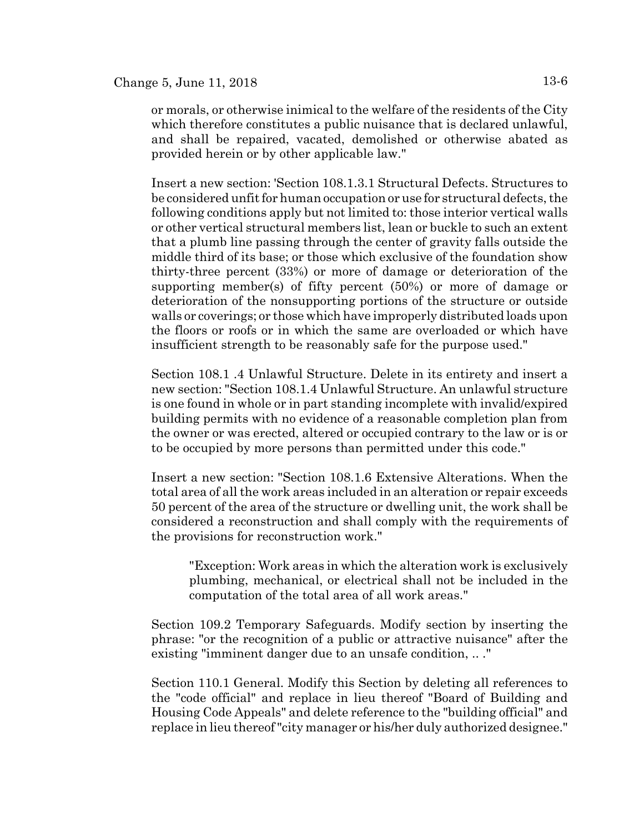or morals, or otherwise inimical to the welfare of the residents of the City which therefore constitutes a public nuisance that is declared unlawful, and shall be repaired, vacated, demolished or otherwise abated as provided herein or by other applicable law."

Insert a new section: 'Section 108.1.3.1 Structural Defects. Structures to be considered unfit for human occupation or use for structural defects, the following conditions apply but not limited to: those interior vertical walls or other vertical structural members list, lean or buckle to such an extent that a plumb line passing through the center of gravity falls outside the middle third of its base; or those which exclusive of the foundation show thirty-three percent (33%) or more of damage or deterioration of the supporting member(s) of fifty percent (50%) or more of damage or deterioration of the nonsupporting portions of the structure or outside walls or coverings; or those which have improperly distributed loads upon the floors or roofs or in which the same are overloaded or which have insufficient strength to be reasonably safe for the purpose used."

Section 108.1 .4 Unlawful Structure. Delete in its entirety and insert a new section: "Section 108.1.4 Unlawful Structure. An unlawful structure is one found in whole or in part standing incomplete with invalid/expired building permits with no evidence of a reasonable completion plan from the owner or was erected, altered or occupied contrary to the law or is or to be occupied by more persons than permitted under this code."

Insert a new section: "Section 108.1.6 Extensive Alterations. When the total area of all the work areas included in an alteration or repair exceeds 50 percent of the area of the structure or dwelling unit, the work shall be considered a reconstruction and shall comply with the requirements of the provisions for reconstruction work."

"Exception: Work areas in which the alteration work is exclusively plumbing, mechanical, or electrical shall not be included in the computation of the total area of all work areas."

Section 109.2 Temporary Safeguards. Modify section by inserting the phrase: "or the recognition of a public or attractive nuisance" after the existing "imminent danger due to an unsafe condition, .. ."

Section 110.1 General. Modify this Section by deleting all references to the "code official" and replace in lieu thereof "Board of Building and Housing Code Appeals" and delete reference to the "building official" and replace in lieu thereof "city manager or his/her duly authorized designee."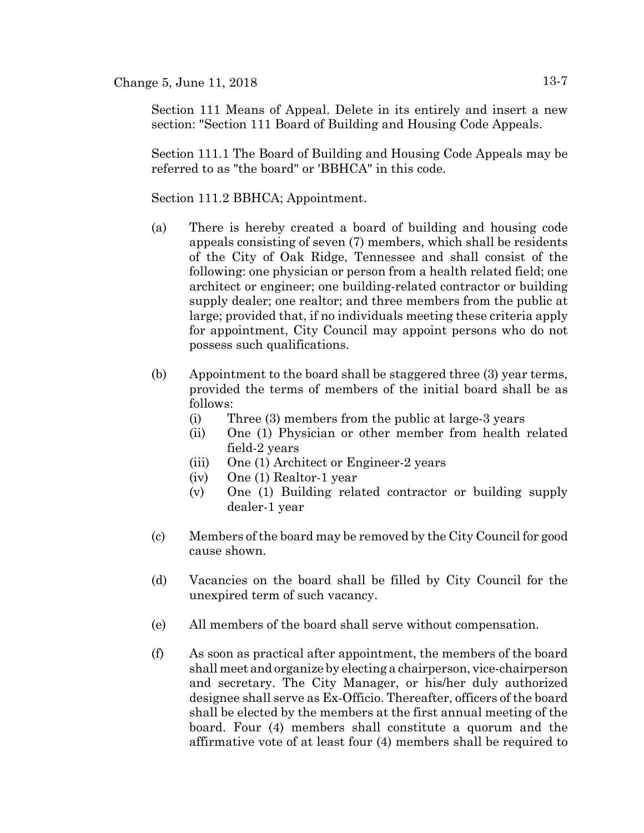Section 111 Means of Appeal. Delete in its entirely and insert a new section: "Section 111 Board of Building and Housing Code Appeals.

Section 111.1 The Board of Building and Housing Code Appeals may be referred to as "the board" or 'BBHCA" in this code.

Section 111.2 BBHCA; Appointment.

- (a) There is hereby created a board of building and housing code appeals consisting of seven (7) members, which shall be residents of the City of Oak Ridge, Tennessee and shall consist of the following: one physician or person from a health related field; one architect or engineer; one building-related contractor or building supply dealer; one realtor; and three members from the public at large; provided that, if no individuals meeting these criteria apply for appointment, City Council may appoint persons who do not possess such qualifications.
- (b) Appointment to the board shall be staggered three (3) year terms, provided the terms of members of the initial board shall be as follows:
	- (i) Three (3) members from the public at large-3 years
	- (ii) One (1) Physician or other member from health related field-2 years
	- (iii) One (1) Architect or Engineer-2 years
	- (iv) One (1) Realtor-1 year
	- (v) One (1) Building related contractor or building supply dealer-1 year
- (c) Members of the board may be removed by the City Council for good cause shown.
- (d) Vacancies on the board shall be filled by City Council for the unexpired term of such vacancy.
- (e) All members of the board shall serve without compensation.
- (f) As soon as practical after appointment, the members of the board shall meet and organize by electing a chairperson, vice-chairperson and secretary. The City Manager, or his/her duly authorized designee shall serve as Ex-Officio. Thereafter, officers of the board shall be elected by the members at the first annual meeting of the board. Four (4) members shall constitute a quorum and the affirmative vote of at least four (4) members shall be required to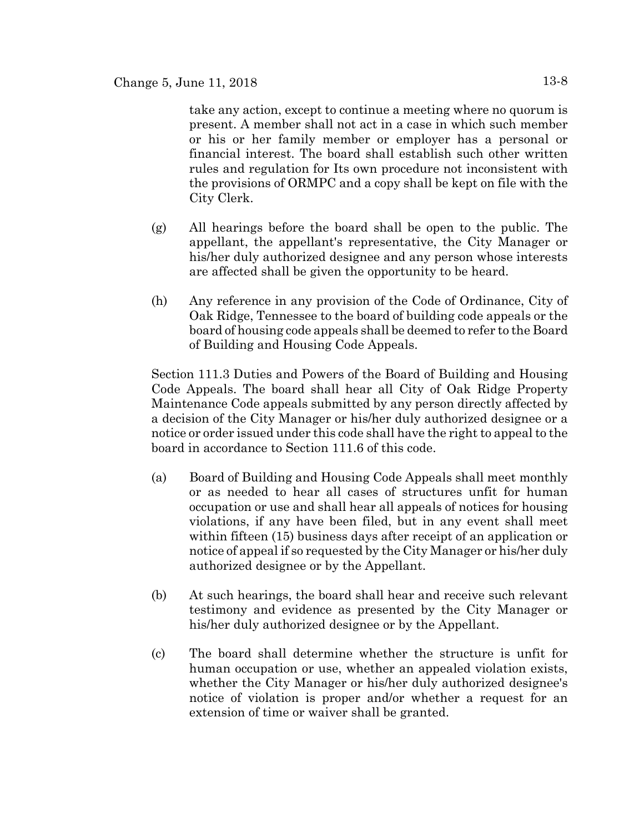take any action, except to continue a meeting where no quorum is present. A member shall not act in a case in which such member or his or her family member or employer has a personal or financial interest. The board shall establish such other written rules and regulation for Its own procedure not inconsistent with the provisions of ORMPC and a copy shall be kept on file with the City Clerk.

- (g) All hearings before the board shall be open to the public. The appellant, the appellant's representative, the City Manager or his/her duly authorized designee and any person whose interests are affected shall be given the opportunity to be heard.
- (h) Any reference in any provision of the Code of Ordinance, City of Oak Ridge, Tennessee to the board of building code appeals or the board of housing code appeals shall be deemed to refer to the Board of Building and Housing Code Appeals.

Section 111.3 Duties and Powers of the Board of Building and Housing Code Appeals. The board shall hear all City of Oak Ridge Property Maintenance Code appeals submitted by any person directly affected by a decision of the City Manager or his/her duly authorized designee or a notice or order issued under this code shall have the right to appeal to the board in accordance to Section 111.6 of this code.

- (a) Board of Building and Housing Code Appeals shall meet monthly or as needed to hear all cases of structures unfit for human occupation or use and shall hear all appeals of notices for housing violations, if any have been filed, but in any event shall meet within fifteen (15) business days after receipt of an application or notice of appeal if so requested by the City Manager or his/her duly authorized designee or by the Appellant.
- (b) At such hearings, the board shall hear and receive such relevant testimony and evidence as presented by the City Manager or his/her duly authorized designee or by the Appellant.
- (c) The board shall determine whether the structure is unfit for human occupation or use, whether an appealed violation exists, whether the City Manager or his/her duly authorized designee's notice of violation is proper and/or whether a request for an extension of time or waiver shall be granted.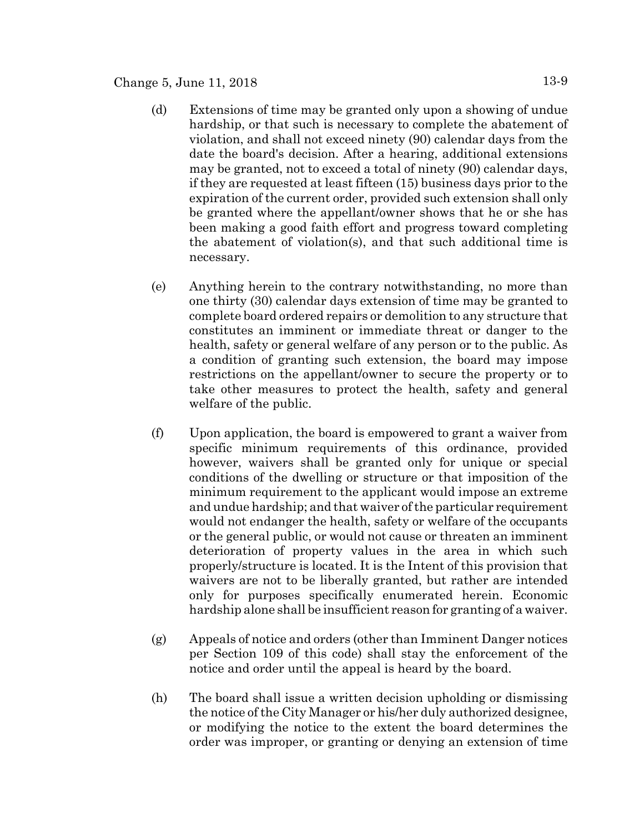# Change 5, June 11, 2018  $13-9$

- (d) Extensions of time may be granted only upon a showing of undue hardship, or that such is necessary to complete the abatement of violation, and shall not exceed ninety (90) calendar days from the date the board's decision. After a hearing, additional extensions may be granted, not to exceed a total of ninety (90) calendar days, if they are requested at least fifteen (15) business days prior to the expiration of the current order, provided such extension shall only be granted where the appellant/owner shows that he or she has been making a good faith effort and progress toward completing the abatement of violation(s), and that such additional time is necessary.
- (e) Anything herein to the contrary notwithstanding, no more than one thirty (30) calendar days extension of time may be granted to complete board ordered repairs or demolition to any structure that constitutes an imminent or immediate threat or danger to the health, safety or general welfare of any person or to the public. As a condition of granting such extension, the board may impose restrictions on the appellant/owner to secure the property or to take other measures to protect the health, safety and general welfare of the public.
- (f) Upon application, the board is empowered to grant a waiver from specific minimum requirements of this ordinance, provided however, waivers shall be granted only for unique or special conditions of the dwelling or structure or that imposition of the minimum requirement to the applicant would impose an extreme and undue hardship; and that waiver of the particular requirement would not endanger the health, safety or welfare of the occupants or the general public, or would not cause or threaten an imminent deterioration of property values in the area in which such properly/structure is located. It is the Intent of this provision that waivers are not to be liberally granted, but rather are intended only for purposes specifically enumerated herein. Economic hardship alone shall be insufficient reason for granting of a waiver.
- (g) Appeals of notice and orders (other than Imminent Danger notices per Section 109 of this code) shall stay the enforcement of the notice and order until the appeal is heard by the board.
- (h) The board shall issue a written decision upholding or dismissing the notice of the City Manager or his/her duly authorized designee, or modifying the notice to the extent the board determines the order was improper, or granting or denying an extension of time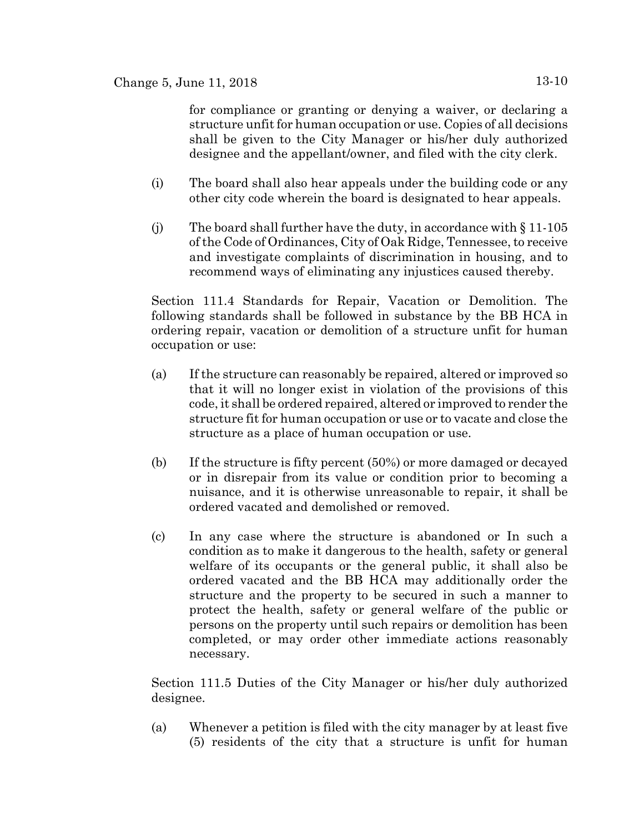for compliance or granting or denying a waiver, or declaring a structure unfit for human occupation or use. Copies of all decisions shall be given to the City Manager or his/her duly authorized designee and the appellant/owner, and filed with the city clerk.

- (i) The board shall also hear appeals under the building code or any other city code wherein the board is designated to hear appeals.
- (j) The board shall further have the duty, in accordance with  $\S 11-105$ of the Code of Ordinances, City of Oak Ridge, Tennessee, to receive and investigate complaints of discrimination in housing, and to recommend ways of eliminating any injustices caused thereby.

Section 111.4 Standards for Repair, Vacation or Demolition. The following standards shall be followed in substance by the BB HCA in ordering repair, vacation or demolition of a structure unfit for human occupation or use:

- (a) If the structure can reasonably be repaired, altered or improved so that it will no longer exist in violation of the provisions of this code, it shall be ordered repaired, altered or improved to render the structure fit for human occupation or use or to vacate and close the structure as a place of human occupation or use.
- (b) If the structure is fifty percent (50%) or more damaged or decayed or in disrepair from its value or condition prior to becoming a nuisance, and it is otherwise unreasonable to repair, it shall be ordered vacated and demolished or removed.
- (c) In any case where the structure is abandoned or In such a condition as to make it dangerous to the health, safety or general welfare of its occupants or the general public, it shall also be ordered vacated and the BB HCA may additionally order the structure and the property to be secured in such a manner to protect the health, safety or general welfare of the public or persons on the property until such repairs or demolition has been completed, or may order other immediate actions reasonably necessary.

Section 111.5 Duties of the City Manager or his/her duly authorized designee.

(a) Whenever a petition is filed with the city manager by at least five (5) residents of the city that a structure is unfit for human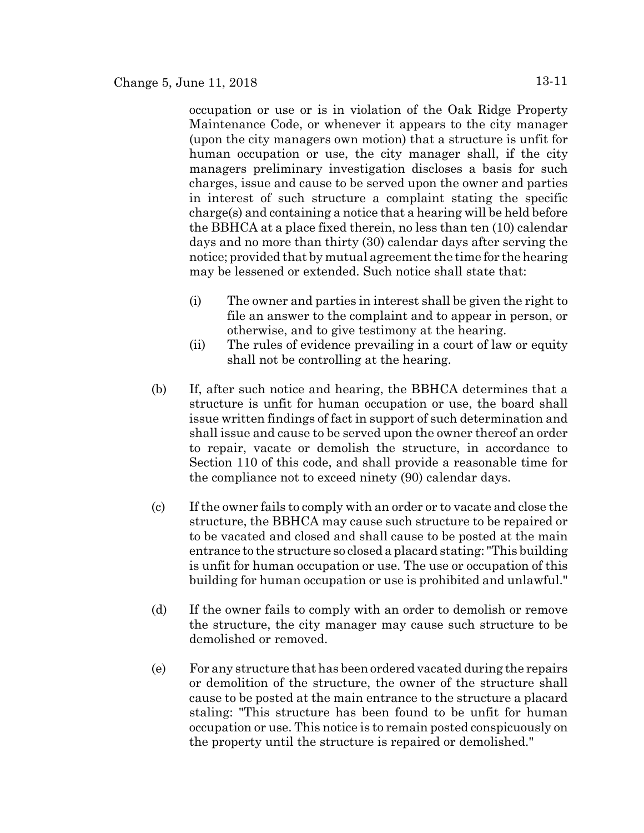occupation or use or is in violation of the Oak Ridge Property Maintenance Code, or whenever it appears to the city manager (upon the city managers own motion) that a structure is unfit for human occupation or use, the city manager shall, if the city managers preliminary investigation discloses a basis for such charges, issue and cause to be served upon the owner and parties in interest of such structure a complaint stating the specific charge(s) and containing a notice that a hearing will be held before the BBHCA at a place fixed therein, no less than ten (10) calendar days and no more than thirty (30) calendar days after serving the notice; provided that by mutual agreement the time for the hearing may be lessened or extended. Such notice shall state that:

- (i) The owner and parties in interest shall be given the right to file an answer to the complaint and to appear in person, or otherwise, and to give testimony at the hearing.
- (ii) The rules of evidence prevailing in a court of law or equity shall not be controlling at the hearing.
- (b) If, after such notice and hearing, the BBHCA determines that a structure is unfit for human occupation or use, the board shall issue written findings of fact in support of such determination and shall issue and cause to be served upon the owner thereof an order to repair, vacate or demolish the structure, in accordance to Section 110 of this code, and shall provide a reasonable time for the compliance not to exceed ninety (90) calendar days.
- (c) If the owner fails to comply with an order or to vacate and close the structure, the BBHCA may cause such structure to be repaired or to be vacated and closed and shall cause to be posted at the main entrance to the structure so closed a placard stating: "This building is unfit for human occupation or use. The use or occupation of this building for human occupation or use is prohibited and unlawful."
- (d) If the owner fails to comply with an order to demolish or remove the structure, the city manager may cause such structure to be demolished or removed.
- (e) For any structure that has been ordered vacated during the repairs or demolition of the structure, the owner of the structure shall cause to be posted at the main entrance to the structure a placard staling: "This structure has been found to be unfit for human occupation or use. This notice is to remain posted conspicuously on the property until the structure is repaired or demolished."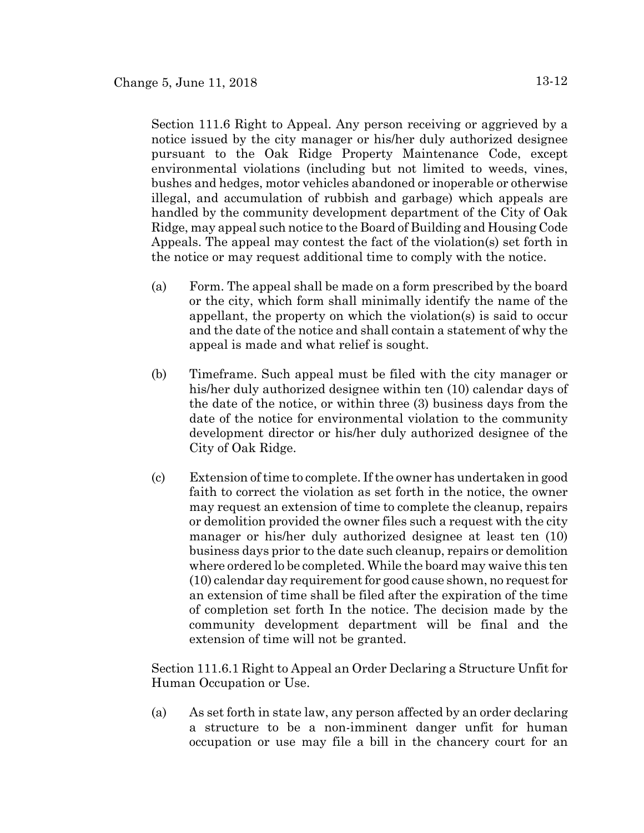Section 111.6 Right to Appeal. Any person receiving or aggrieved by a notice issued by the city manager or his/her duly authorized designee pursuant to the Oak Ridge Property Maintenance Code, except environmental violations (including but not limited to weeds, vines, bushes and hedges, motor vehicles abandoned or inoperable or otherwise illegal, and accumulation of rubbish and garbage) which appeals are handled by the community development department of the City of Oak Ridge, may appeal such notice to the Board of Building and Housing Code Appeals. The appeal may contest the fact of the violation(s) set forth in the notice or may request additional time to comply with the notice.

- (a) Form. The appeal shall be made on a form prescribed by the board or the city, which form shall minimally identify the name of the appellant, the property on which the violation(s) is said to occur and the date of the notice and shall contain a statement of why the appeal is made and what relief is sought.
- (b) Timeframe. Such appeal must be filed with the city manager or his/her duly authorized designee within ten (10) calendar days of the date of the notice, or within three (3) business days from the date of the notice for environmental violation to the community development director or his/her duly authorized designee of the City of Oak Ridge.
- (c) Extension of time to complete. If the owner has undertaken in good faith to correct the violation as set forth in the notice, the owner may request an extension of time to complete the cleanup, repairs or demolition provided the owner files such a request with the city manager or his/her duly authorized designee at least ten (10) business days prior to the date such cleanup, repairs or demolition where ordered lo be completed. While the board may waive this ten (10) calendar day requirement for good cause shown, no request for an extension of time shall be filed after the expiration of the time of completion set forth In the notice. The decision made by the community development department will be final and the extension of time will not be granted.

Section 111.6.1 Right to Appeal an Order Declaring a Structure Unfit for Human Occupation or Use.

(a) As set forth in state law, any person affected by an order declaring a structure to be a non-imminent danger unfit for human occupation or use may file a bill in the chancery court for an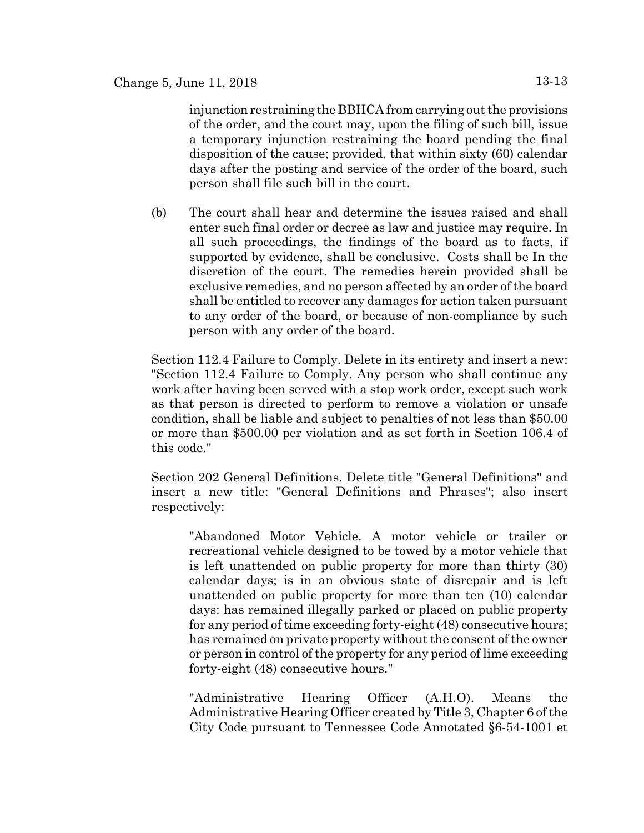injunction restraining the BBHCA from carrying out the provisions of the order, and the court may, upon the filing of such bill, issue a temporary injunction restraining the board pending the final disposition of the cause; provided, that within sixty (60) calendar days after the posting and service of the order of the board, such person shall file such bill in the court.

(b) The court shall hear and determine the issues raised and shall enter such final order or decree as law and justice may require. In all such proceedings, the findings of the board as to facts, if supported by evidence, shall be conclusive. Costs shall be In the discretion of the court. The remedies herein provided shall be exclusive remedies, and no person affected by an order of the board shall be entitled to recover any damages for action taken pursuant to any order of the board, or because of non-compliance by such person with any order of the board.

Section 112.4 Failure to Comply. Delete in its entirety and insert a new: "Section 112.4 Failure to Comply. Any person who shall continue any work after having been served with a stop work order, except such work as that person is directed to perform to remove a violation or unsafe condition, shall be liable and subject to penalties of not less than \$50.00 or more than \$500.00 per violation and as set forth in Section 106.4 of this code."

Section 202 General Definitions. Delete title "General Definitions" and insert a new title: "General Definitions and Phrases"; also insert respectively:

"Abandoned Motor Vehicle. A motor vehicle or trailer or recreational vehicle designed to be towed by a motor vehicle that is left unattended on public property for more than thirty (30) calendar days; is in an obvious state of disrepair and is left unattended on public property for more than ten (10) calendar days: has remained illegally parked or placed on public property for any period of time exceeding forty-eight (48) consecutive hours; has remained on private property without the consent of the owner or person in control of the property for any period of lime exceeding forty-eight (48) consecutive hours."

"Administrative Hearing Officer (A.H.O). Means the Administrative Hearing Officer created by Title 3, Chapter 6 of the City Code pursuant to Tennessee Code Annotated §6-54-1001 et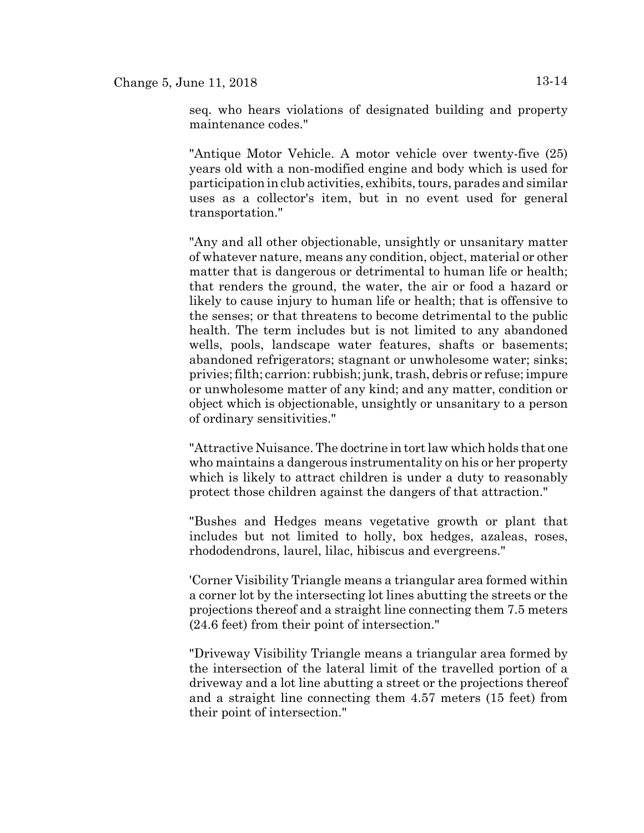seq. who hears violations of designated building and property maintenance codes."

"Antique Motor Vehicle. A motor vehicle over twenty-five (25) years old with a non-modified engine and body which is used for participation in club activities, exhibits, tours, parades and similar uses as a collector's item, but in no event used for general transportation."

"Any and all other objectionable, unsightly or unsanitary matter of whatever nature, means any condition, object, material or other matter that is dangerous or detrimental to human life or health; that renders the ground, the water, the air or food a hazard or likely to cause injury to human life or health; that is offensive to the senses; or that threatens to become detrimental to the public health. The term includes but is not limited to any abandoned wells, pools, landscape water features, shafts or basements; abandoned refrigerators; stagnant or unwholesome water; sinks; privies; filth; carrion: rubbish; junk, trash, debris or refuse; impure or unwholesome matter of any kind; and any matter, condition or object which is objectionable, unsightly or unsanitary to a person of ordinary sensitivities."

"Attractive Nuisance. The doctrine in tort law which holds that one who maintains a dangerous instrumentality on his or her property which is likely to attract children is under a duty to reasonably protect those children against the dangers of that attraction."

"Bushes and Hedges means vegetative growth or plant that includes but not limited to holly, box hedges, azaleas, roses, rhododendrons, laurel, lilac, hibiscus and evergreens."

'Corner Visibility Triangle means a triangular area formed within a corner lot by the intersecting lot lines abutting the streets or the projections thereof and a straight line connecting them 7.5 meters (24.6 feet) from their point of intersection."

"Driveway Visibility Triangle means a triangular area formed by the intersection of the lateral limit of the travelled portion of a driveway and a lot line abutting a street or the projections thereof and a straight line connecting them 4.57 meters (15 feet) from their point of intersection."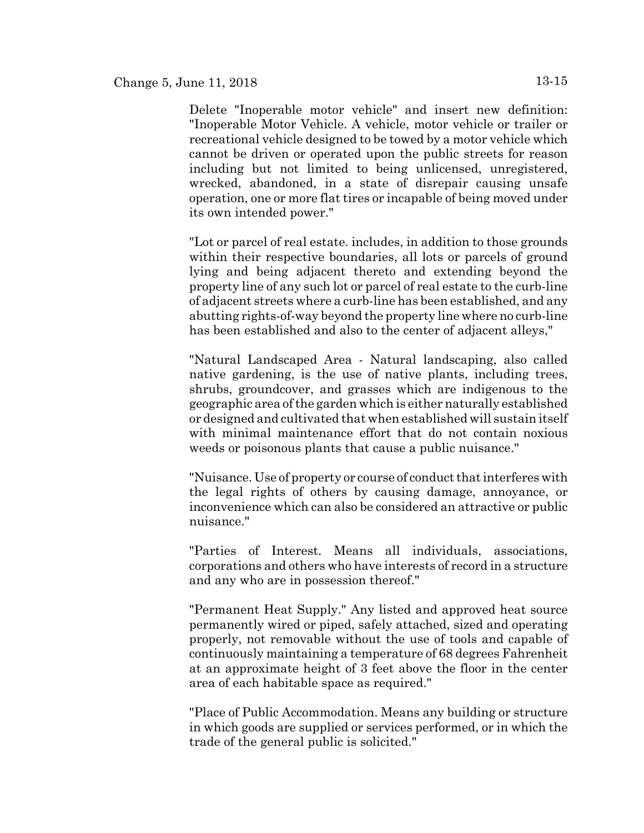Delete "Inoperable motor vehicle" and insert new definition: "Inoperable Motor Vehicle. A vehicle, motor vehicle or trailer or recreational vehicle designed to be towed by a motor vehicle which cannot be driven or operated upon the public streets for reason including but not limited to being unlicensed, unregistered, wrecked, abandoned, in a state of disrepair causing unsafe operation, one or more flat tires or incapable of being moved under its own intended power."

"Lot or parcel of real estate. includes, in addition to those grounds within their respective boundaries, all lots or parcels of ground lying and being adjacent thereto and extending beyond the property line of any such lot or parcel of real estate to the curb-line of adjacent streets where a curb-line has been established, and any abutting rights-of-way beyond the property line where no curb-line has been established and also to the center of adjacent alleys,"

"Natural Landscaped Area - Natural landscaping, also called native gardening, is the use of native plants, including trees, shrubs, groundcover, and grasses which are indigenous to the geographic area of the garden which is either naturally established or designed and cultivated that when established will sustain itself with minimal maintenance effort that do not contain noxious weeds or poisonous plants that cause a public nuisance."

"Nuisance. Use of property or course of conduct that interferes with the legal rights of others by causing damage, annoyance, or inconvenience which can also be considered an attractive or public nuisance."

"Parties of Interest. Means all individuals, associations, corporations and others who have interests of record in a structure and any who are in possession thereof."

"Permanent Heat Supply." Any listed and approved heat source permanently wired or piped, safely attached, sized and operating properly, not removable without the use of tools and capable of continuously maintaining a temperature of 68 degrees Fahrenheit at an approximate height of 3 feet above the floor in the center area of each habitable space as required."

"Place of Public Accommodation. Means any building or structure in which goods are supplied or services performed, or in which the trade of the general public is solicited."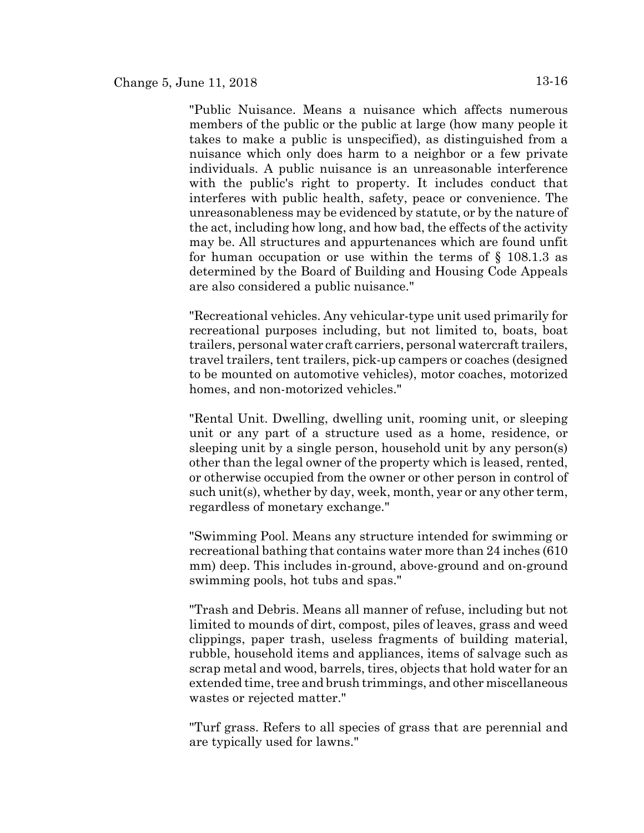"Public Nuisance. Means a nuisance which affects numerous members of the public or the public at large (how many people it takes to make a public is unspecified), as distinguished from a nuisance which only does harm to a neighbor or a few private individuals. A public nuisance is an unreasonable interference with the public's right to property. It includes conduct that interferes with public health, safety, peace or convenience. The unreasonableness may be evidenced by statute, or by the nature of the act, including how long, and how bad, the effects of the activity may be. All structures and appurtenances which are found unfit for human occupation or use within the terms of § 108.1.3 as determined by the Board of Building and Housing Code Appeals are also considered a public nuisance."

"Recreational vehicles. Any vehicular-type unit used primarily for recreational purposes including, but not limited to, boats, boat trailers, personal water craft carriers, personal watercraft trailers, travel trailers, tent trailers, pick-up campers or coaches (designed to be mounted on automotive vehicles), motor coaches, motorized homes, and non-motorized vehicles."

"Rental Unit. Dwelling, dwelling unit, rooming unit, or sleeping unit or any part of a structure used as a home, residence, or sleeping unit by a single person, household unit by any person(s) other than the legal owner of the property which is leased, rented, or otherwise occupied from the owner or other person in control of such unit(s), whether by day, week, month, year or any other term, regardless of monetary exchange."

"Swimming Pool. Means any structure intended for swimming or recreational bathing that contains water more than 24 inches (610 mm) deep. This includes in-ground, above-ground and on-ground swimming pools, hot tubs and spas."

"Trash and Debris. Means all manner of refuse, including but not limited to mounds of dirt, compost, piles of leaves, grass and weed clippings, paper trash, useless fragments of building material, rubble, household items and appliances, items of salvage such as scrap metal and wood, barrels, tires, objects that hold water for an extended time, tree and brush trimmings, and other miscellaneous wastes or rejected matter."

"Turf grass. Refers to all species of grass that are perennial and are typically used for lawns."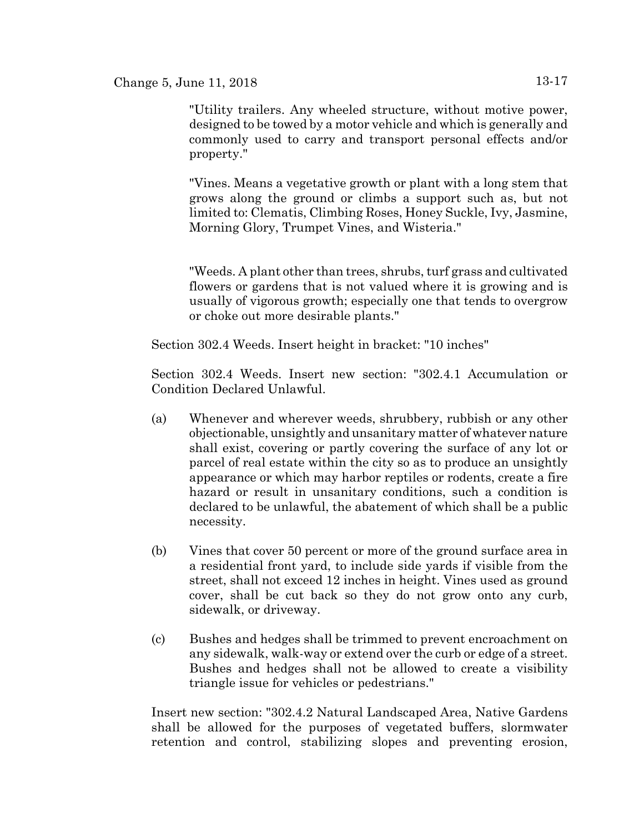"Utility trailers. Any wheeled structure, without motive power, designed to be towed by a motor vehicle and which is generally and commonly used to carry and transport personal effects and/or property."

"Vines. Means a vegetative growth or plant with a long stem that grows along the ground or climbs a support such as, but not limited to: Clematis, Climbing Roses, Honey Suckle, Ivy, Jasmine, Morning Glory, Trumpet Vines, and Wisteria."

"Weeds. A plant other than trees, shrubs, turf grass and cultivated flowers or gardens that is not valued where it is growing and is usually of vigorous growth; especially one that tends to overgrow or choke out more desirable plants."

Section 302.4 Weeds. Insert height in bracket: "10 inches"

Section 302.4 Weeds. Insert new section: "302.4.1 Accumulation or Condition Declared Unlawful.

- (a) Whenever and wherever weeds, shrubbery, rubbish or any other objectionable, unsightly and unsanitary matter of whatever nature shall exist, covering or partly covering the surface of any lot or parcel of real estate within the city so as to produce an unsightly appearance or which may harbor reptiles or rodents, create a fire hazard or result in unsanitary conditions, such a condition is declared to be unlawful, the abatement of which shall be a public necessity.
- (b) Vines that cover 50 percent or more of the ground surface area in a residential front yard, to include side yards if visible from the street, shall not exceed 12 inches in height. Vines used as ground cover, shall be cut back so they do not grow onto any curb, sidewalk, or driveway.
- (c) Bushes and hedges shall be trimmed to prevent encroachment on any sidewalk, walk-way or extend over the curb or edge of a street. Bushes and hedges shall not be allowed to create a visibility triangle issue for vehicles or pedestrians."

Insert new section: "302.4.2 Natural Landscaped Area, Native Gardens shall be allowed for the purposes of vegetated buffers, slormwater retention and control, stabilizing slopes and preventing erosion,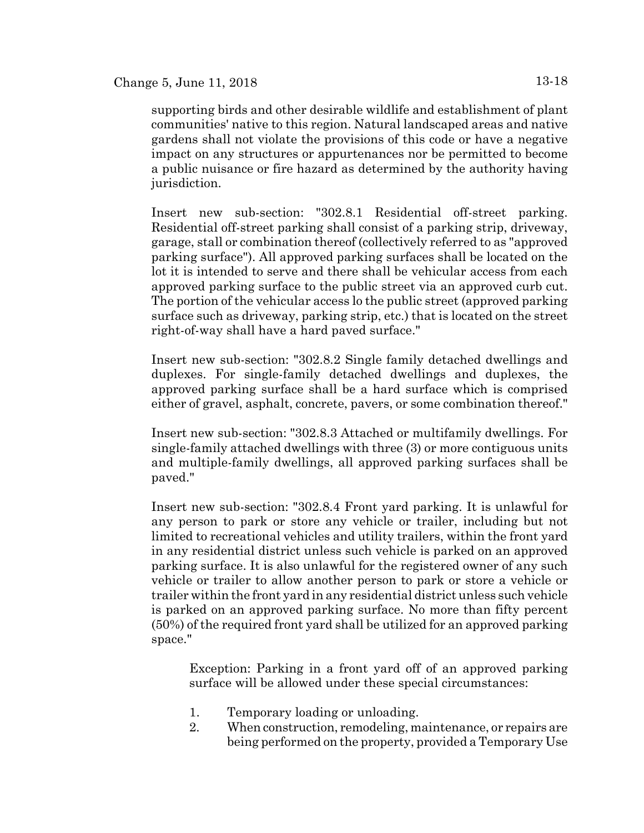supporting birds and other desirable wildlife and establishment of plant communities' native to this region. Natural landscaped areas and native gardens shall not violate the provisions of this code or have a negative impact on any structures or appurtenances nor be permitted to become a public nuisance or fire hazard as determined by the authority having jurisdiction.

Insert new sub-section: "302.8.1 Residential off-street parking. Residential off-street parking shall consist of a parking strip, driveway, garage, stall or combination thereof (collectively referred to as "approved parking surface"). All approved parking surfaces shall be located on the lot it is intended to serve and there shall be vehicular access from each approved parking surface to the public street via an approved curb cut. The portion of the vehicular access lo the public street (approved parking surface such as driveway, parking strip, etc.) that is located on the street right-of-way shall have a hard paved surface."

Insert new sub-section: "302.8.2 Single family detached dwellings and duplexes. For single-family detached dwellings and duplexes, the approved parking surface shall be a hard surface which is comprised either of gravel, asphalt, concrete, pavers, or some combination thereof."

Insert new sub-section: "302.8.3 Attached or multifamily dwellings. For single-family attached dwellings with three (3) or more contiguous units and multiple-family dwellings, all approved parking surfaces shall be paved."

Insert new sub-section: "302.8.4 Front yard parking. It is unlawful for any person to park or store any vehicle or trailer, including but not limited to recreational vehicles and utility trailers, within the front yard in any residential district unless such vehicle is parked on an approved parking surface. It is also unlawful for the registered owner of any such vehicle or trailer to allow another person to park or store a vehicle or trailer within the front yard in any residential district unless such vehicle is parked on an approved parking surface. No more than fifty percent (50%) of the required front yard shall be utilized for an approved parking space."

Exception: Parking in a front yard off of an approved parking surface will be allowed under these special circumstances:

- 1. Temporary loading or unloading.
- 2. When construction, remodeling, maintenance, or repairs are being performed on the property, provided a Temporary Use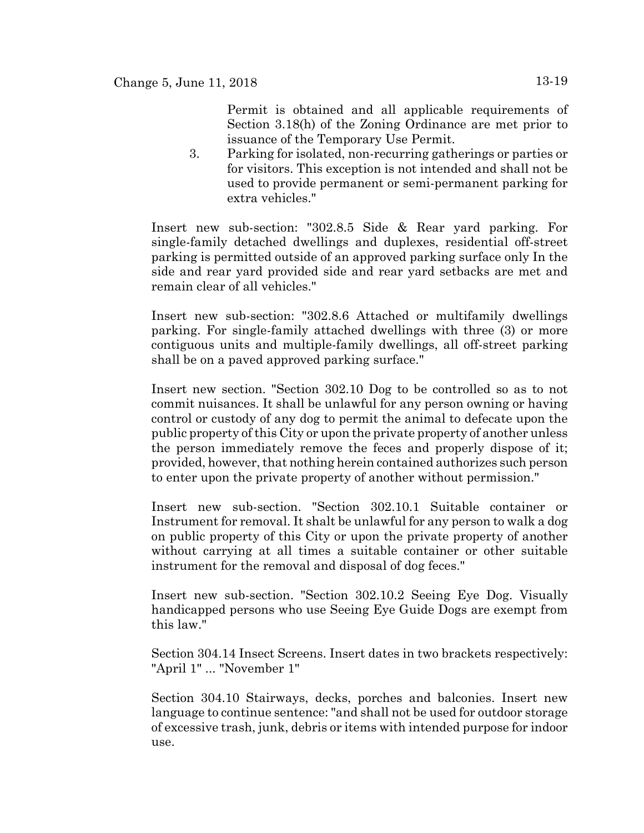Permit is obtained and all applicable requirements of Section 3.18(h) of the Zoning Ordinance are met prior to issuance of the Temporary Use Permit.

3. Parking for isolated, non-recurring gatherings or parties or for visitors. This exception is not intended and shall not be used to provide permanent or semi-permanent parking for extra vehicles."

Insert new sub-section: "302.8.5 Side & Rear yard parking. For single-family detached dwellings and duplexes, residential off-street parking is permitted outside of an approved parking surface only In the side and rear yard provided side and rear yard setbacks are met and remain clear of all vehicles."

Insert new sub-section: "302.8.6 Attached or multifamily dwellings parking. For single-family attached dwellings with three (3) or more contiguous units and multiple-family dwellings, all off-street parking shall be on a paved approved parking surface."

Insert new section. "Section 302.10 Dog to be controlled so as to not commit nuisances. It shall be unlawful for any person owning or having control or custody of any dog to permit the animal to defecate upon the public property of this City or upon the private property of another unless the person immediately remove the feces and properly dispose of it; provided, however, that nothing herein contained authorizes such person to enter upon the private property of another without permission."

Insert new sub-section. "Section 302.10.1 Suitable container or Instrument for removal. It shalt be unlawful for any person to walk a dog on public property of this City or upon the private property of another without carrying at all times a suitable container or other suitable instrument for the removal and disposal of dog feces."

Insert new sub-section. "Section 302.10.2 Seeing Eye Dog. Visually handicapped persons who use Seeing Eye Guide Dogs are exempt from this law."

Section 304.14 Insect Screens. Insert dates in two brackets respectively: "April 1" ... "November 1"

Section 304.10 Stairways, decks, porches and balconies. Insert new language to continue sentence: "and shall not be used for outdoor storage of excessive trash, junk, debris or items with intended purpose for indoor use.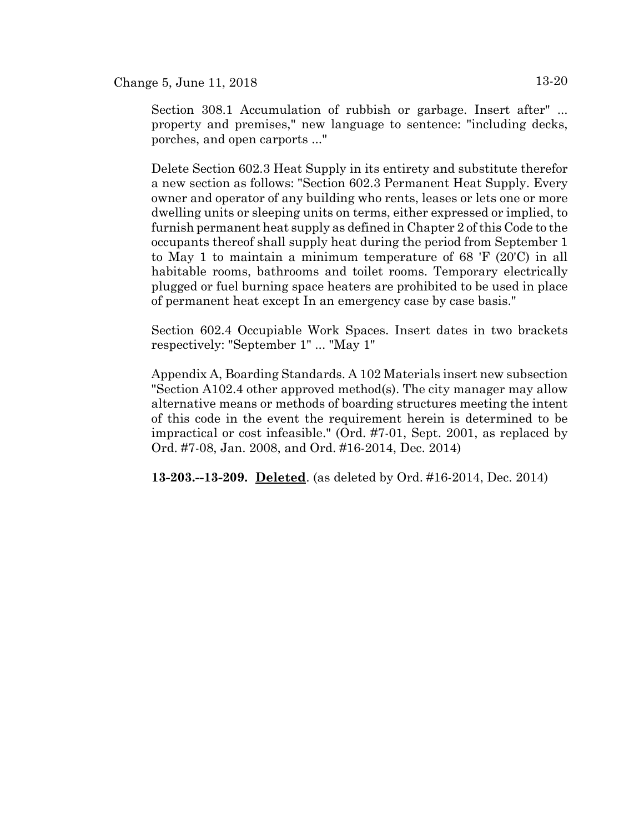Change 5, June 11, 2018  $13-20$ 

Section 308.1 Accumulation of rubbish or garbage. Insert after" ... property and premises," new language to sentence: "including decks, porches, and open carports ..."

Delete Section 602.3 Heat Supply in its entirety and substitute therefor a new section as follows: "Section 602.3 Permanent Heat Supply. Every owner and operator of any building who rents, leases or lets one or more dwelling units or sleeping units on terms, either expressed or implied, to furnish permanent heat supply as defined in Chapter 2 of this Code to the occupants thereof shall supply heat during the period from September 1 to May 1 to maintain a minimum temperature of 68 'F (20'C) in all habitable rooms, bathrooms and toilet rooms. Temporary electrically plugged or fuel burning space heaters are prohibited to be used in place of permanent heat except In an emergency case by case basis."

Section 602.4 Occupiable Work Spaces. Insert dates in two brackets respectively: "September 1" ... "May 1"

Appendix A, Boarding Standards. A 102 Materials insert new subsection "Section A102.4 other approved method(s). The city manager may allow alternative means or methods of boarding structures meeting the intent of this code in the event the requirement herein is determined to be impractical or cost infeasible." (Ord. #7-01, Sept. 2001, as replaced by Ord. #7-08, Jan. 2008, and Ord. #16-2014, Dec. 2014)

**13-203.--13-209. Deleted**. (as deleted by Ord. #16-2014, Dec. 2014)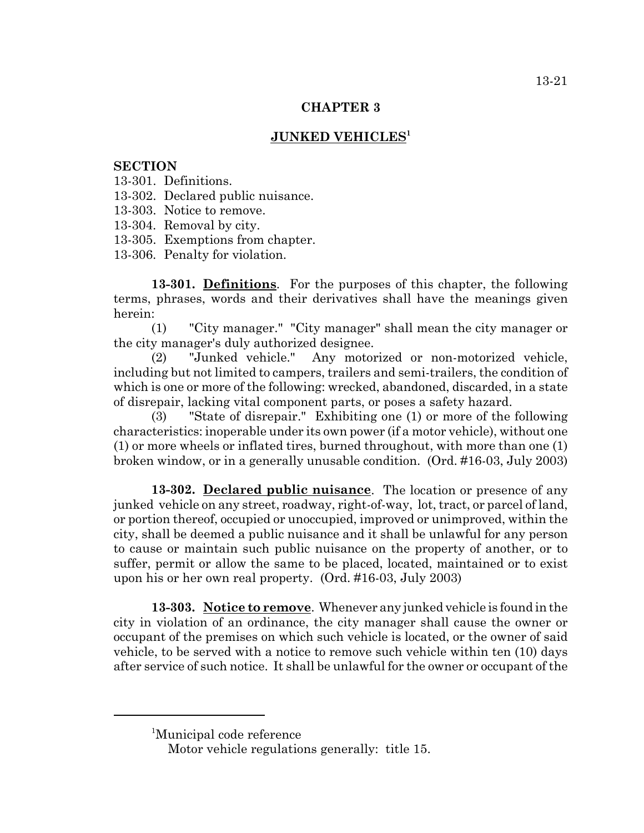#### **CHAPTER 3**

### **JUNKED VEHICLES1**

### **SECTION**

- 13-301. Definitions.
- 13-302. Declared public nuisance.
- 13-303. Notice to remove.
- 13-304. Removal by city.
- 13-305. Exemptions from chapter.
- 13-306. Penalty for violation.

**13-301. Definitions**. For the purposes of this chapter, the following terms, phrases, words and their derivatives shall have the meanings given herein:

(1) "City manager." "City manager" shall mean the city manager or the city manager's duly authorized designee.

(2) "Junked vehicle." Any motorized or non-motorized vehicle, including but not limited to campers, trailers and semi-trailers, the condition of which is one or more of the following: wrecked, abandoned, discarded, in a state of disrepair, lacking vital component parts, or poses a safety hazard.

(3) "State of disrepair." Exhibiting one (1) or more of the following characteristics: inoperable under its own power (if a motor vehicle), without one (1) or more wheels or inflated tires, burned throughout, with more than one (1) broken window, or in a generally unusable condition. (Ord. #16-03, July 2003)

**13-302. Declared public nuisance**. The location or presence of any junked vehicle on any street, roadway, right-of-way, lot, tract, or parcel of land, or portion thereof, occupied or unoccupied, improved or unimproved, within the city, shall be deemed a public nuisance and it shall be unlawful for any person to cause or maintain such public nuisance on the property of another, or to suffer, permit or allow the same to be placed, located, maintained or to exist upon his or her own real property. (Ord. #16-03, July 2003)

**13-303. Notice to remove**. Whenever any junked vehicle is found in the city in violation of an ordinance, the city manager shall cause the owner or occupant of the premises on which such vehicle is located, or the owner of said vehicle, to be served with a notice to remove such vehicle within ten (10) days after service of such notice. It shall be unlawful for the owner or occupant of the

<sup>1</sup> Municipal code reference

Motor vehicle regulations generally: title 15.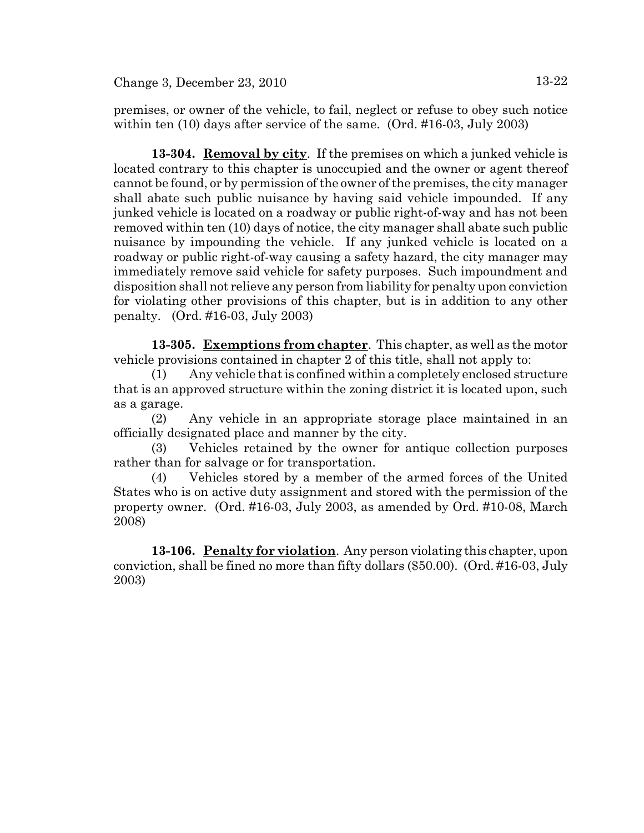premises, or owner of the vehicle, to fail, neglect or refuse to obey such notice within ten (10) days after service of the same. (Ord. #16-03, July 2003)

**13-304. Removal by city**. If the premises on which a junked vehicle is located contrary to this chapter is unoccupied and the owner or agent thereof cannot be found, or by permission of the owner of the premises, the city manager shall abate such public nuisance by having said vehicle impounded. If any junked vehicle is located on a roadway or public right-of-way and has not been removed within ten (10) days of notice, the city manager shall abate such public nuisance by impounding the vehicle. If any junked vehicle is located on a roadway or public right-of-way causing a safety hazard, the city manager may immediately remove said vehicle for safety purposes. Such impoundment and disposition shall not relieve any person from liability for penalty upon conviction for violating other provisions of this chapter, but is in addition to any other penalty. (Ord. #16-03, July 2003)

**13-305. Exemptions from chapter**. This chapter, as well as the motor vehicle provisions contained in chapter 2 of this title, shall not apply to:

(1) Any vehicle that is confined within a completely enclosed structure that is an approved structure within the zoning district it is located upon, such as a garage.

(2) Any vehicle in an appropriate storage place maintained in an officially designated place and manner by the city.

(3) Vehicles retained by the owner for antique collection purposes rather than for salvage or for transportation.

(4) Vehicles stored by a member of the armed forces of the United States who is on active duty assignment and stored with the permission of the property owner. (Ord. #16-03, July 2003, as amended by Ord. #10-08, March 2008)

**13-106. Penalty for violation**. Any person violating this chapter, upon conviction, shall be fined no more than fifty dollars (\$50.00). (Ord. #16-03, July 2003)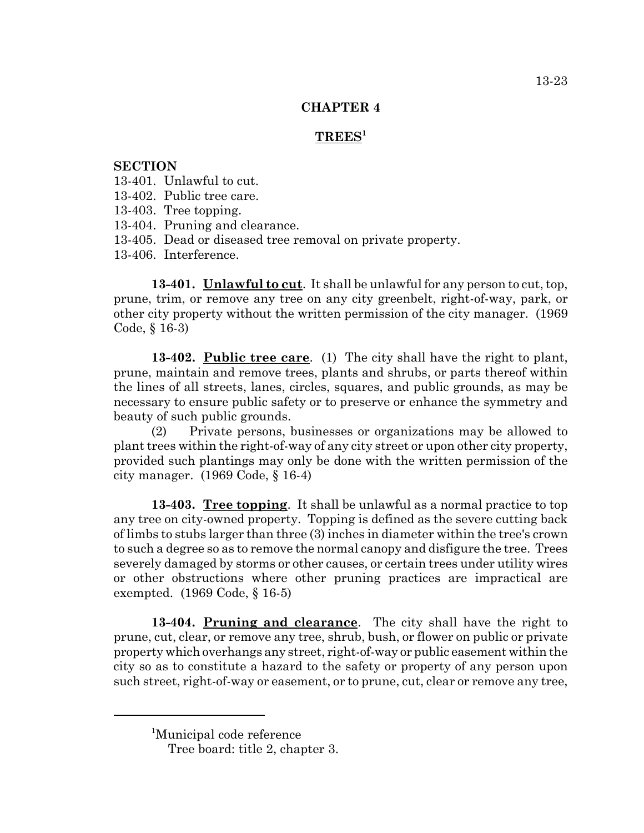### **CHAPTER 4**

# **TREES1**

### **SECTION**

13-401. Unlawful to cut.

13-402. Public tree care.

13-403. Tree topping.

13-404. Pruning and clearance.

13-405. Dead or diseased tree removal on private property.

13-406. Interference.

**13-401. Unlawful to cut**. It shall be unlawful for any person to cut, top, prune, trim, or remove any tree on any city greenbelt, right-of-way, park, or other city property without the written permission of the city manager. (1969 Code, § 16-3)

**13-402. Public tree care**. (1) The city shall have the right to plant, prune, maintain and remove trees, plants and shrubs, or parts thereof within the lines of all streets, lanes, circles, squares, and public grounds, as may be necessary to ensure public safety or to preserve or enhance the symmetry and beauty of such public grounds.

(2) Private persons, businesses or organizations may be allowed to plant trees within the right-of-way of any city street or upon other city property, provided such plantings may only be done with the written permission of the city manager. (1969 Code, § 16-4)

**13-403. Tree topping**. It shall be unlawful as a normal practice to top any tree on city-owned property. Topping is defined as the severe cutting back of limbs to stubs larger than three (3) inches in diameter within the tree's crown to such a degree so as to remove the normal canopy and disfigure the tree. Trees severely damaged by storms or other causes, or certain trees under utility wires or other obstructions where other pruning practices are impractical are exempted. (1969 Code, § 16-5)

**13-404. Pruning and clearance**. The city shall have the right to prune, cut, clear, or remove any tree, shrub, bush, or flower on public or private property which overhangs any street, right-of-way or public easement within the city so as to constitute a hazard to the safety or property of any person upon such street, right-of-way or easement, or to prune, cut, clear or remove any tree,

<sup>1</sup> Municipal code reference

Tree board: title 2, chapter 3.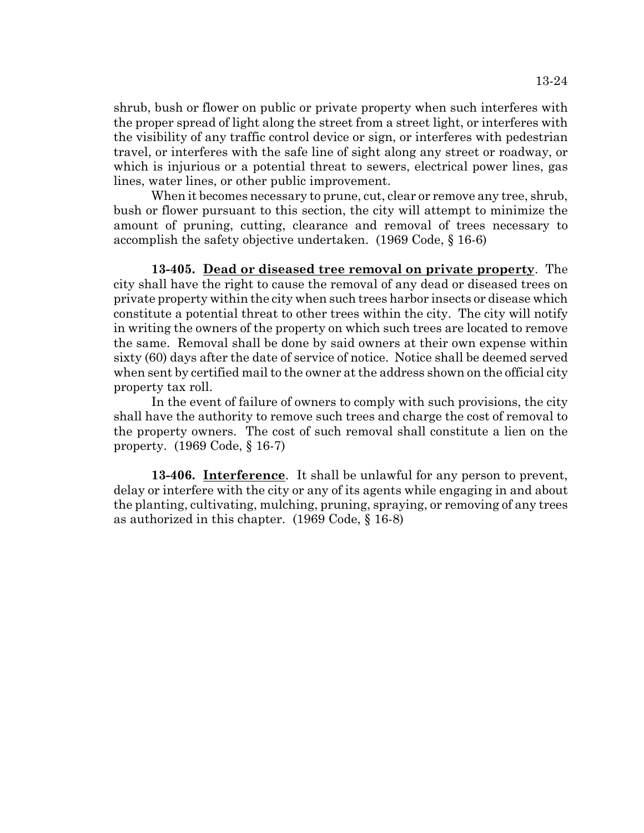13-24

shrub, bush or flower on public or private property when such interferes with the proper spread of light along the street from a street light, or interferes with the visibility of any traffic control device or sign, or interferes with pedestrian travel, or interferes with the safe line of sight along any street or roadway, or which is injurious or a potential threat to sewers, electrical power lines, gas lines, water lines, or other public improvement.

When it becomes necessary to prune, cut, clear or remove any tree, shrub, bush or flower pursuant to this section, the city will attempt to minimize the amount of pruning, cutting, clearance and removal of trees necessary to accomplish the safety objective undertaken. (1969 Code, § 16-6)

**13-405. Dead or diseased tree removal on private property**. The city shall have the right to cause the removal of any dead or diseased trees on private property within the city when such trees harbor insects or disease which constitute a potential threat to other trees within the city. The city will notify in writing the owners of the property on which such trees are located to remove the same. Removal shall be done by said owners at their own expense within sixty (60) days after the date of service of notice. Notice shall be deemed served when sent by certified mail to the owner at the address shown on the official city property tax roll.

In the event of failure of owners to comply with such provisions, the city shall have the authority to remove such trees and charge the cost of removal to the property owners. The cost of such removal shall constitute a lien on the property. (1969 Code, § 16-7)

**13-406. Interference**. It shall be unlawful for any person to prevent, delay or interfere with the city or any of its agents while engaging in and about the planting, cultivating, mulching, pruning, spraying, or removing of any trees as authorized in this chapter. (1969 Code, § 16-8)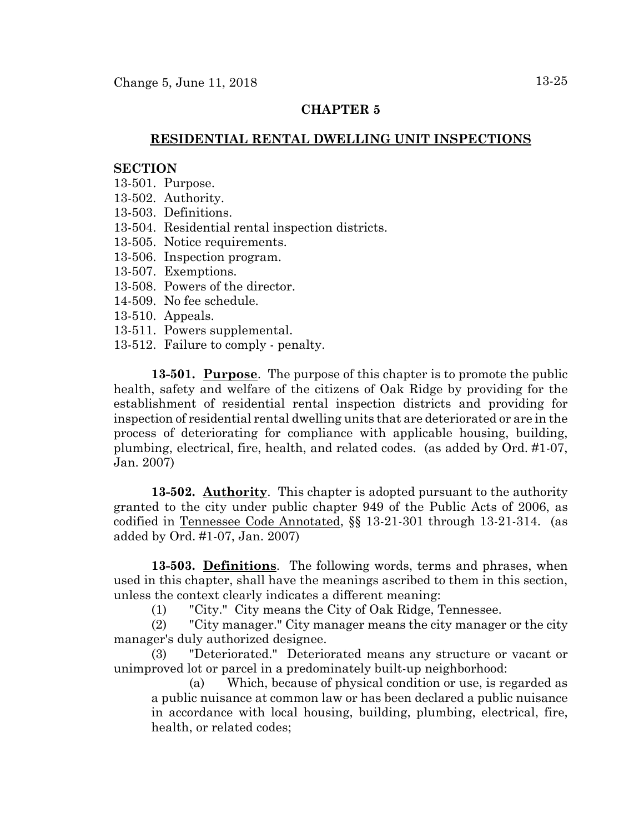# **CHAPTER 5**

# **RESIDENTIAL RENTAL DWELLING UNIT INSPECTIONS**

### **SECTION**

- 13-501. Purpose.
- 13-502. Authority.
- 13-503. Definitions.
- 13-504. Residential rental inspection districts.
- 13-505. Notice requirements.
- 13-506. Inspection program.
- 13-507. Exemptions.
- 13-508. Powers of the director.
- 14-509. No fee schedule.
- 13-510. Appeals.
- 13-511. Powers supplemental.
- 13-512. Failure to comply penalty.

**13-501. Purpose**. The purpose of this chapter is to promote the public health, safety and welfare of the citizens of Oak Ridge by providing for the establishment of residential rental inspection districts and providing for inspection of residential rental dwelling units that are deteriorated or are in the process of deteriorating for compliance with applicable housing, building, plumbing, electrical, fire, health, and related codes. (as added by Ord. #1-07, Jan. 2007)

**13-502. Authority**. This chapter is adopted pursuant to the authority granted to the city under public chapter 949 of the Public Acts of 2006, as codified in Tennessee Code Annotated, §§ 13-21-301 through 13-21-314. (as added by Ord. #1-07, Jan. 2007)

**13-503. Definitions**. The following words, terms and phrases, when used in this chapter, shall have the meanings ascribed to them in this section, unless the context clearly indicates a different meaning:

(1) "City." City means the City of Oak Ridge, Tennessee.

(2) "City manager." City manager means the city manager or the city manager's duly authorized designee.

(3) "Deteriorated." Deteriorated means any structure or vacant or unimproved lot or parcel in a predominately built-up neighborhood:

(a) Which, because of physical condition or use, is regarded as a public nuisance at common law or has been declared a public nuisance in accordance with local housing, building, plumbing, electrical, fire, health, or related codes;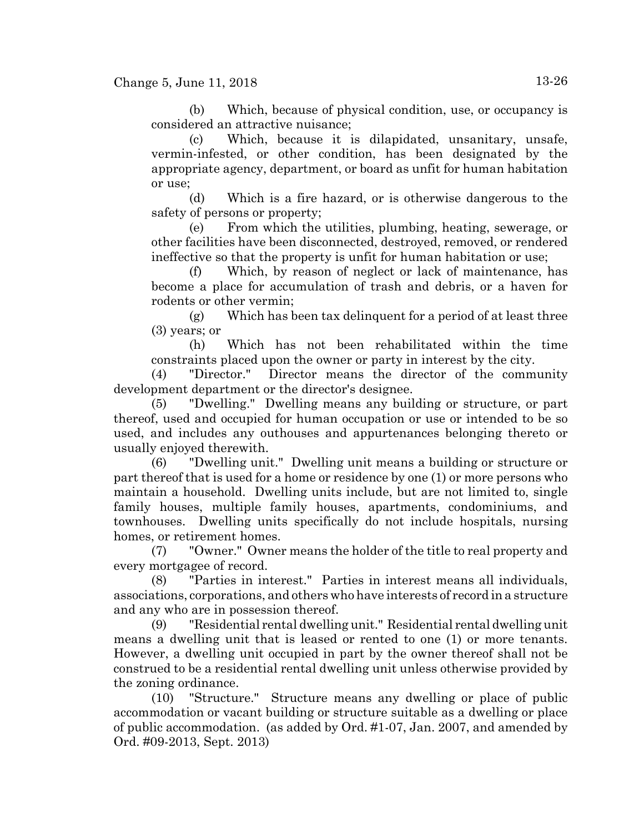(b) Which, because of physical condition, use, or occupancy is considered an attractive nuisance;

(c) Which, because it is dilapidated, unsanitary, unsafe, vermin-infested, or other condition, has been designated by the appropriate agency, department, or board as unfit for human habitation or use;

(d) Which is a fire hazard, or is otherwise dangerous to the safety of persons or property;

(e) From which the utilities, plumbing, heating, sewerage, or other facilities have been disconnected, destroyed, removed, or rendered ineffective so that the property is unfit for human habitation or use;

(f) Which, by reason of neglect or lack of maintenance, has become a place for accumulation of trash and debris, or a haven for rodents or other vermin;

(g) Which has been tax delinquent for a period of at least three (3) years; or

(h) Which has not been rehabilitated within the time constraints placed upon the owner or party in interest by the city.

(4) "Director." Director means the director of the community development department or the director's designee.

(5) "Dwelling." Dwelling means any building or structure, or part thereof, used and occupied for human occupation or use or intended to be so used, and includes any outhouses and appurtenances belonging thereto or usually enjoyed therewith.

(6) "Dwelling unit." Dwelling unit means a building or structure or part thereof that is used for a home or residence by one (1) or more persons who maintain a household. Dwelling units include, but are not limited to, single family houses, multiple family houses, apartments, condominiums, and townhouses. Dwelling units specifically do not include hospitals, nursing homes, or retirement homes.

(7) "Owner." Owner means the holder of the title to real property and every mortgagee of record.

(8) "Parties in interest." Parties in interest means all individuals, associations, corporations, and others who have interests of record in a structure and any who are in possession thereof.

(9) "Residential rental dwelling unit." Residential rental dwelling unit means a dwelling unit that is leased or rented to one (1) or more tenants. However, a dwelling unit occupied in part by the owner thereof shall not be construed to be a residential rental dwelling unit unless otherwise provided by the zoning ordinance.

(10) "Structure." Structure means any dwelling or place of public accommodation or vacant building or structure suitable as a dwelling or place of public accommodation. (as added by Ord. #1-07, Jan. 2007, and amended by Ord. #09-2013, Sept. 2013)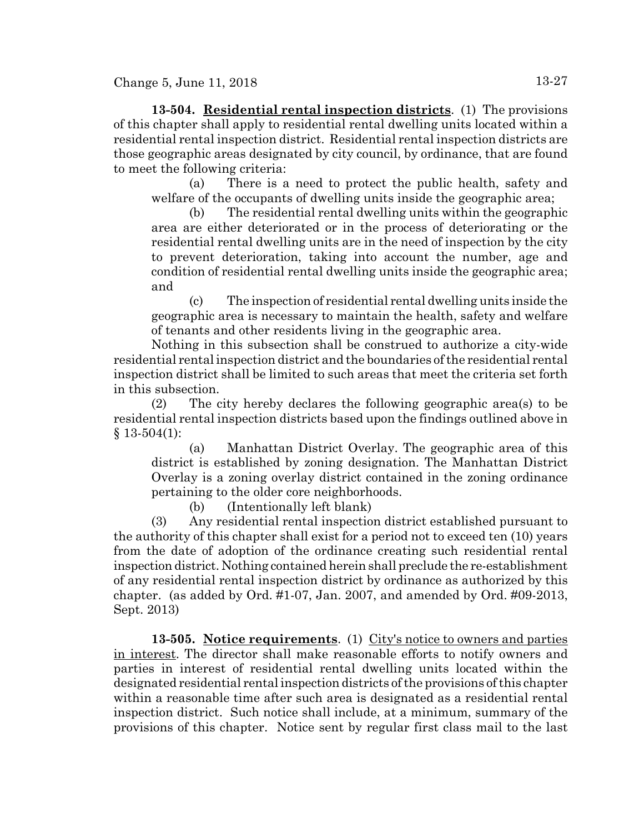**13-504. Residential rental inspection districts**. (1) The provisions of this chapter shall apply to residential rental dwelling units located within a residential rental inspection district. Residential rental inspection districts are those geographic areas designated by city council, by ordinance, that are found to meet the following criteria:

(a) There is a need to protect the public health, safety and welfare of the occupants of dwelling units inside the geographic area;

(b) The residential rental dwelling units within the geographic area are either deteriorated or in the process of deteriorating or the residential rental dwelling units are in the need of inspection by the city to prevent deterioration, taking into account the number, age and condition of residential rental dwelling units inside the geographic area; and

(c) The inspection of residential rental dwelling units inside the geographic area is necessary to maintain the health, safety and welfare of tenants and other residents living in the geographic area.

Nothing in this subsection shall be construed to authorize a city-wide residential rental inspection district and the boundaries of the residential rental inspection district shall be limited to such areas that meet the criteria set forth in this subsection.

(2) The city hereby declares the following geographic area(s) to be residential rental inspection districts based upon the findings outlined above in  $§ 13-504(1):$ 

(a) Manhattan District Overlay. The geographic area of this district is established by zoning designation. The Manhattan District Overlay is a zoning overlay district contained in the zoning ordinance pertaining to the older core neighborhoods.

(b) (Intentionally left blank)

(3) Any residential rental inspection district established pursuant to the authority of this chapter shall exist for a period not to exceed ten (10) years from the date of adoption of the ordinance creating such residential rental inspection district. Nothing contained herein shall preclude the re-establishment of any residential rental inspection district by ordinance as authorized by this chapter. (as added by Ord. #1-07, Jan. 2007, and amended by Ord. #09-2013, Sept. 2013)

**13-505. Notice requirements**. (1) City's notice to owners and parties in interest. The director shall make reasonable efforts to notify owners and parties in interest of residential rental dwelling units located within the designated residential rental inspection districts of the provisions of this chapter within a reasonable time after such area is designated as a residential rental inspection district. Such notice shall include, at a minimum, summary of the provisions of this chapter. Notice sent by regular first class mail to the last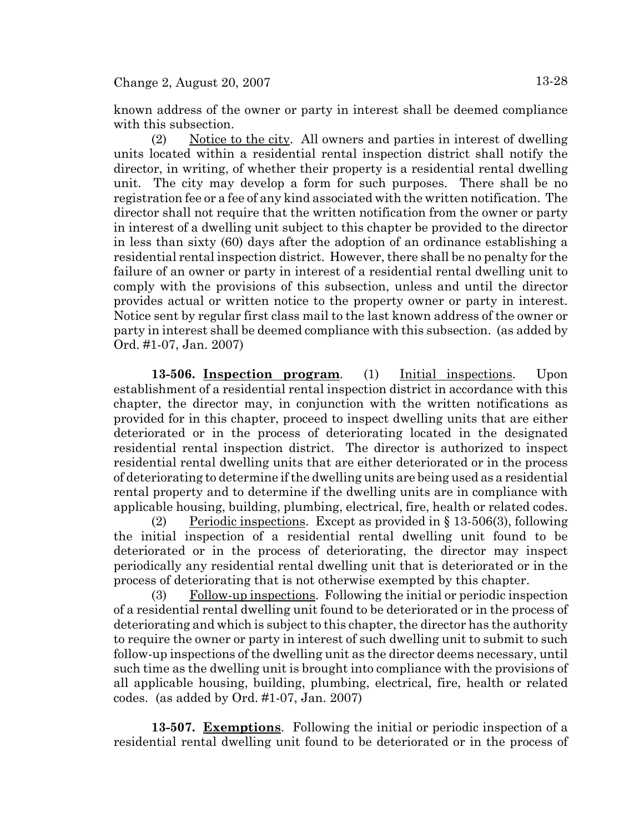known address of the owner or party in interest shall be deemed compliance with this subsection.

(2) Notice to the city. All owners and parties in interest of dwelling units located within a residential rental inspection district shall notify the director, in writing, of whether their property is a residential rental dwelling unit. The city may develop a form for such purposes. There shall be no registration fee or a fee of any kind associated with the written notification. The director shall not require that the written notification from the owner or party in interest of a dwelling unit subject to this chapter be provided to the director in less than sixty (60) days after the adoption of an ordinance establishing a residential rental inspection district. However, there shall be no penalty for the failure of an owner or party in interest of a residential rental dwelling unit to comply with the provisions of this subsection, unless and until the director provides actual or written notice to the property owner or party in interest. Notice sent by regular first class mail to the last known address of the owner or party in interest shall be deemed compliance with this subsection. (as added by Ord. #1-07, Jan. 2007)

**13-506. Inspection program**. (1) Initial inspections. Upon establishment of a residential rental inspection district in accordance with this chapter, the director may, in conjunction with the written notifications as provided for in this chapter, proceed to inspect dwelling units that are either deteriorated or in the process of deteriorating located in the designated residential rental inspection district. The director is authorized to inspect residential rental dwelling units that are either deteriorated or in the process of deteriorating to determine if the dwelling units are being used as a residential rental property and to determine if the dwelling units are in compliance with applicable housing, building, plumbing, electrical, fire, health or related codes.

(2) Periodic inspections. Except as provided in  $\S 13-506(3)$ , following the initial inspection of a residential rental dwelling unit found to be deteriorated or in the process of deteriorating, the director may inspect periodically any residential rental dwelling unit that is deteriorated or in the process of deteriorating that is not otherwise exempted by this chapter.

 $(3)$  Follow-up inspections. Following the initial or periodic inspection of a residential rental dwelling unit found to be deteriorated or in the process of deteriorating and which is subject to this chapter, the director has the authority to require the owner or party in interest of such dwelling unit to submit to such follow-up inspections of the dwelling unit as the director deems necessary, until such time as the dwelling unit is brought into compliance with the provisions of all applicable housing, building, plumbing, electrical, fire, health or related codes. (as added by Ord. #1-07, Jan. 2007)

**13-507. Exemptions**. Following the initial or periodic inspection of a residential rental dwelling unit found to be deteriorated or in the process of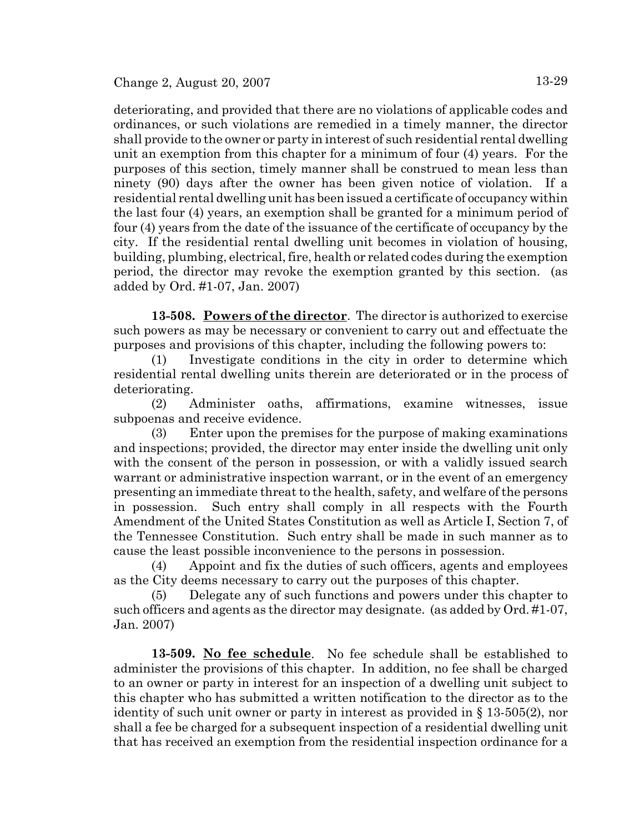deteriorating, and provided that there are no violations of applicable codes and ordinances, or such violations are remedied in a timely manner, the director shall provide to the owner or party in interest of such residential rental dwelling unit an exemption from this chapter for a minimum of four (4) years. For the purposes of this section, timely manner shall be construed to mean less than ninety (90) days after the owner has been given notice of violation. If a residential rental dwelling unit has been issued a certificate of occupancy within the last four (4) years, an exemption shall be granted for a minimum period of four (4) years from the date of the issuance of the certificate of occupancy by the city. If the residential rental dwelling unit becomes in violation of housing, building, plumbing, electrical, fire, health or related codes during the exemption period, the director may revoke the exemption granted by this section. (as added by Ord. #1-07, Jan. 2007)

**13-508. Powers of the director**. The director is authorized to exercise such powers as may be necessary or convenient to carry out and effectuate the purposes and provisions of this chapter, including the following powers to:

(1) Investigate conditions in the city in order to determine which residential rental dwelling units therein are deteriorated or in the process of deteriorating.

(2) Administer oaths, affirmations, examine witnesses, issue subpoenas and receive evidence.

(3) Enter upon the premises for the purpose of making examinations and inspections; provided, the director may enter inside the dwelling unit only with the consent of the person in possession, or with a validly issued search warrant or administrative inspection warrant, or in the event of an emergency presenting an immediate threat to the health, safety, and welfare of the persons in possession. Such entry shall comply in all respects with the Fourth Amendment of the United States Constitution as well as Article I, Section 7, of the Tennessee Constitution. Such entry shall be made in such manner as to cause the least possible inconvenience to the persons in possession.

(4) Appoint and fix the duties of such officers, agents and employees as the City deems necessary to carry out the purposes of this chapter.

(5) Delegate any of such functions and powers under this chapter to such officers and agents as the director may designate. (as added by Ord. #1-07, Jan. 2007)

**13-509. No fee schedule**. No fee schedule shall be established to administer the provisions of this chapter. In addition, no fee shall be charged to an owner or party in interest for an inspection of a dwelling unit subject to this chapter who has submitted a written notification to the director as to the identity of such unit owner or party in interest as provided in § 13-505(2), nor shall a fee be charged for a subsequent inspection of a residential dwelling unit that has received an exemption from the residential inspection ordinance for a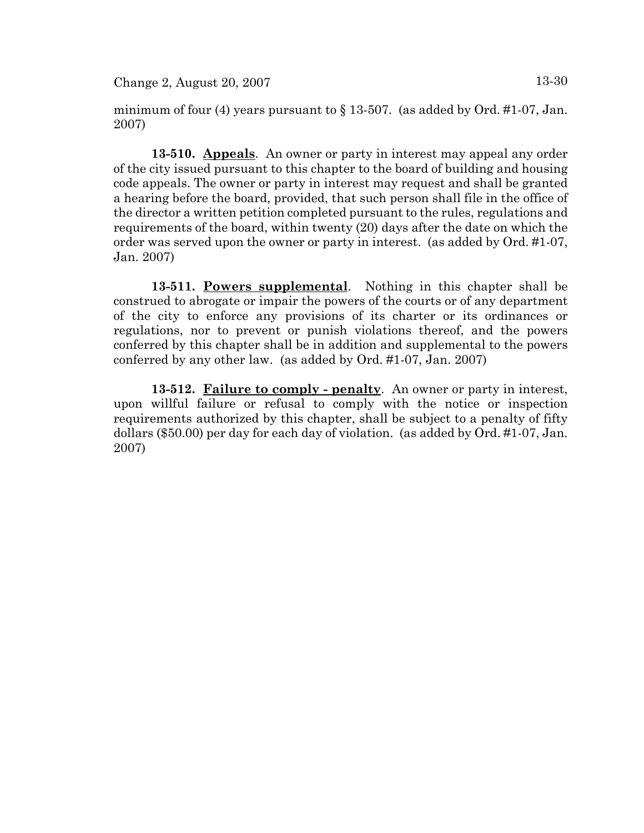Change 2, August 20, 2007 13-30

minimum of four (4) years pursuant to  $\S 13-507$ . (as added by Ord. #1-07, Jan. 2007)

**13-510. Appeals**. An owner or party in interest may appeal any order of the city issued pursuant to this chapter to the board of building and housing code appeals. The owner or party in interest may request and shall be granted a hearing before the board, provided, that such person shall file in the office of the director a written petition completed pursuant to the rules, regulations and requirements of the board, within twenty (20) days after the date on which the order was served upon the owner or party in interest. (as added by Ord. #1-07, Jan. 2007)

**13-511. Powers supplemental**. Nothing in this chapter shall be construed to abrogate or impair the powers of the courts or of any department of the city to enforce any provisions of its charter or its ordinances or regulations, nor to prevent or punish violations thereof, and the powers conferred by this chapter shall be in addition and supplemental to the powers conferred by any other law. (as added by Ord. #1-07, Jan. 2007)

**13-512. Failure to comply - penalty**. An owner or party in interest, upon willful failure or refusal to comply with the notice or inspection requirements authorized by this chapter, shall be subject to a penalty of fifty dollars (\$50.00) per day for each day of violation. (as added by Ord. #1-07, Jan. 2007)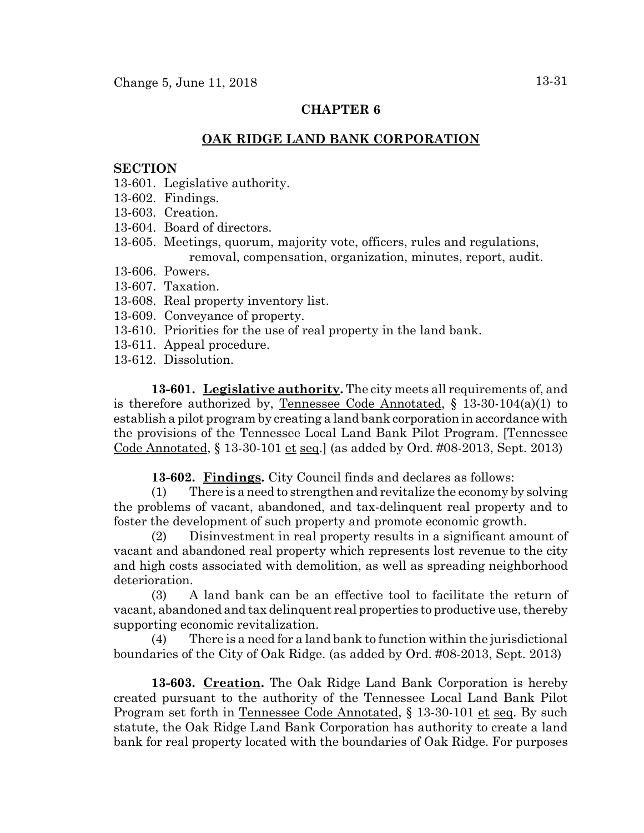# **CHAPTER 6**

# **OAK RIDGE LAND BANK CORPORATION**

#### **SECTION**

- 13-601. Legislative authority.
- 13-602. Findings.
- 13-603. Creation.
- 13-604. Board of directors.
- 13-605. Meetings, quorum, majority vote, officers, rules and regulations, removal, compensation, organization, minutes, report, audit.
- 13-606. Powers.
- 13-607. Taxation.
- 13-608. Real property inventory list.
- 13-609. Conveyance of property.
- 13-610. Priorities for the use of real property in the land bank.
- 13-611. Appeal procedure.
- 13-612. Dissolution.

**13-601. Legislative authority.** The city meets all requirements of, and is therefore authorized by, Tennessee Code Annotated,  $\S$  13-30-104(a)(1) to establish a pilot program by creating a land bank corporation in accordance with the provisions of the Tennessee Local Land Bank Pilot Program. [Tennessee Code Annotated, § 13-30-101 et seq.] (as added by Ord. #08-2013, Sept. 2013)

**13-602. Findings.** City Council finds and declares as follows:

(1) There is a need to strengthen and revitalize the economy by solving the problems of vacant, abandoned, and tax-delinquent real property and to foster the development of such property and promote economic growth.

(2) Disinvestment in real property results in a significant amount of vacant and abandoned real property which represents lost revenue to the city and high costs associated with demolition, as well as spreading neighborhood deterioration.

(3) A land bank can be an effective tool to facilitate the return of vacant, abandoned and tax delinquent real properties to productive use, thereby supporting economic revitalization.

(4) There is a need for a land bank to function within the jurisdictional boundaries of the City of Oak Ridge. (as added by Ord. #08-2013, Sept. 2013)

**13-603. Creation.** The Oak Ridge Land Bank Corporation is hereby created pursuant to the authority of the Tennessee Local Land Bank Pilot Program set forth in Tennessee Code Annotated, § 13-30-101 et seq. By such statute, the Oak Ridge Land Bank Corporation has authority to create a land bank for real property located with the boundaries of Oak Ridge. For purposes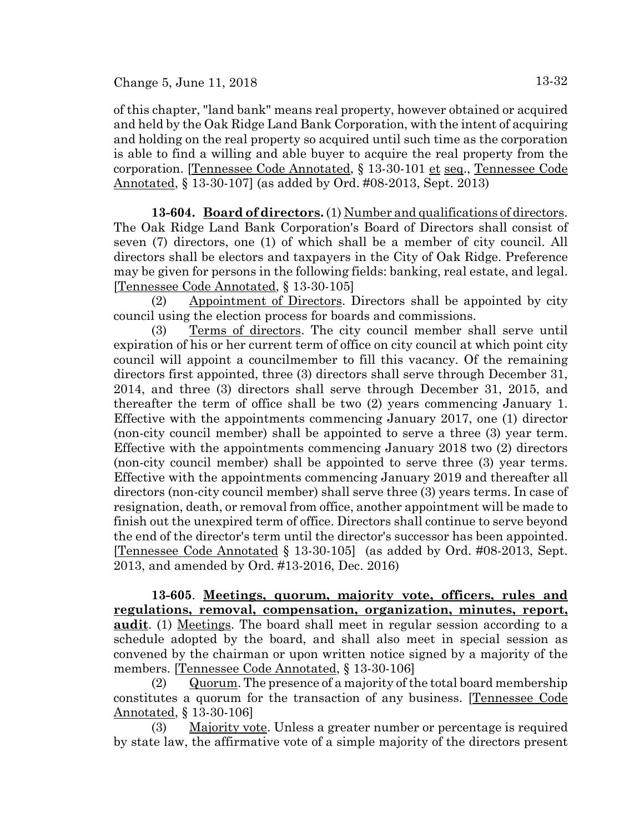of this chapter, "land bank" means real property, however obtained or acquired and held by the Oak Ridge Land Bank Corporation, with the intent of acquiring and holding on the real property so acquired until such time as the corporation is able to find a willing and able buyer to acquire the real property from the corporation. [Tennessee Code Annotated, § 13-30-101 et seq., Tennessee Code Annotated, § 13-30-107] (as added by Ord. #08-2013, Sept. 2013)

**13-604. Board of directors.** (1) Number and qualifications of directors. The Oak Ridge Land Bank Corporation's Board of Directors shall consist of seven (7) directors, one (1) of which shall be a member of city council. All directors shall be electors and taxpayers in the City of Oak Ridge. Preference may be given for persons in the following fields: banking, real estate, and legal. [Tennessee Code Annotated, § 13-30-105]

(2) Appointment of Directors. Directors shall be appointed by city council using the election process for boards and commissions.

(3) Terms of directors. The city council member shall serve until expiration of his or her current term of office on city council at which point city council will appoint a councilmember to fill this vacancy. Of the remaining directors first appointed, three (3) directors shall serve through December 31, 2014, and three (3) directors shall serve through December 31, 2015, and thereafter the term of office shall be two (2) years commencing January 1. Effective with the appointments commencing January 2017, one (1) director (non-city council member) shall be appointed to serve a three (3) year term. Effective with the appointments commencing January 2018 two (2) directors (non-city council member) shall be appointed to serve three (3) year terms. Effective with the appointments commencing January 2019 and thereafter all directors (non-city council member) shall serve three (3) years terms. In case of resignation, death, or removal from office, another appointment will be made to finish out the unexpired term of office. Directors shall continue to serve beyond the end of the director's term until the director's successor has been appointed. [Tennessee Code Annotated § 13-30-105] (as added by Ord. #08-2013, Sept. 2013, and amended by Ord. #13-2016, Dec. 2016)

**13-605**. **Meetings, quorum, majority vote, officers, rules and regulations, removal, compensation, organization, minutes, report, audit**. (1) Meetings. The board shall meet in regular session according to a schedule adopted by the board, and shall also meet in special session as convened by the chairman or upon written notice signed by a majority of the members. [Tennessee Code Annotated, § 13-30-106]

(2) Quorum. The presence of a majority of the total board membership constitutes a quorum for the transaction of any business. [Tennessee Code Annotated, § 13-30-106]

(3) Majority vote. Unless a greater number or percentage is required by state law, the affirmative vote of a simple majority of the directors present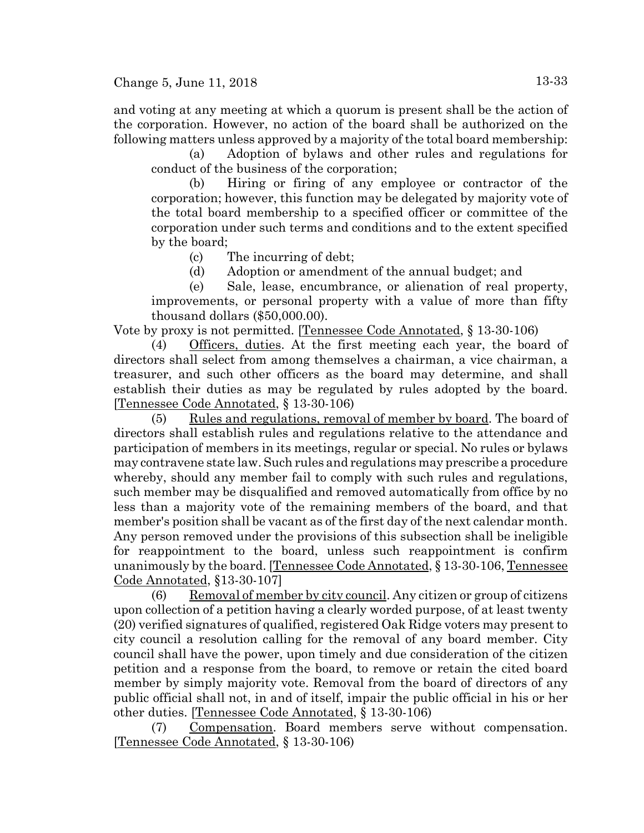and voting at any meeting at which a quorum is present shall be the action of the corporation. However, no action of the board shall be authorized on the following matters unless approved by a majority of the total board membership:

(a) Adoption of bylaws and other rules and regulations for conduct of the business of the corporation;

(b) Hiring or firing of any employee or contractor of the corporation; however, this function may be delegated by majority vote of the total board membership to a specified officer or committee of the corporation under such terms and conditions and to the extent specified by the board;

(c) The incurring of debt;

(d) Adoption or amendment of the annual budget; and

(e) Sale, lease, encumbrance, or alienation of real property, improvements, or personal property with a value of more than fifty thousand dollars (\$50,000.00).

Vote by proxy is not permitted. [Tennessee Code Annotated, § 13-30-106)

(4) Officers, duties. At the first meeting each year, the board of directors shall select from among themselves a chairman, a vice chairman, a treasurer, and such other officers as the board may determine, and shall establish their duties as may be regulated by rules adopted by the board. [Tennessee Code Annotated, § 13-30-106)

(5) Rules and regulations, removal of member by board. The board of directors shall establish rules and regulations relative to the attendance and participation of members in its meetings, regular or special. No rules or bylaws may contravene state law. Such rules and regulations may prescribe a procedure whereby, should any member fail to comply with such rules and regulations, such member may be disqualified and removed automatically from office by no less than a majority vote of the remaining members of the board, and that member's position shall be vacant as of the first day of the next calendar month. Any person removed under the provisions of this subsection shall be ineligible for reappointment to the board, unless such reappointment is confirm unanimously by the board. [Tennessee Code Annotated, § 13-30-106, Tennessee Code Annotated, §13-30-107]

 $(6)$  Removal of member by city council. Any citizen or group of citizens upon collection of a petition having a clearly worded purpose, of at least twenty (20) verified signatures of qualified, registered Oak Ridge voters may present to city council a resolution calling for the removal of any board member. City council shall have the power, upon timely and due consideration of the citizen petition and a response from the board, to remove or retain the cited board member by simply majority vote. Removal from the board of directors of any public official shall not, in and of itself, impair the public official in his or her other duties. [Tennessee Code Annotated, § 13-30-106)

(7) Compensation. Board members serve without compensation. [Tennessee Code Annotated, § 13-30-106)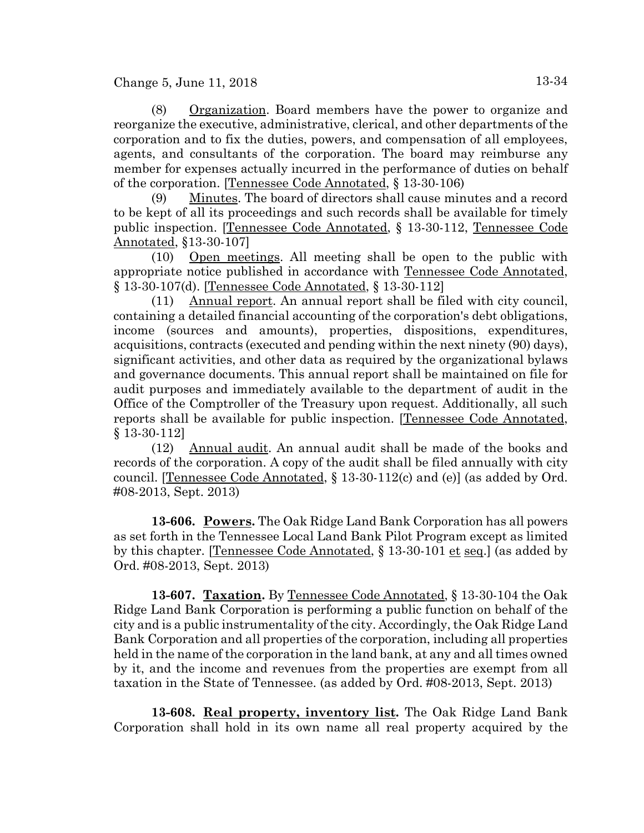Change 5, June 11, 2018 13-34

(8) Organization. Board members have the power to organize and reorganize the executive, administrative, clerical, and other departments of the corporation and to fix the duties, powers, and compensation of all employees, agents, and consultants of the corporation. The board may reimburse any member for expenses actually incurred in the performance of duties on behalf of the corporation. [Tennessee Code Annotated, § 13-30-106)

(9) Minutes. The board of directors shall cause minutes and a record to be kept of all its proceedings and such records shall be available for timely public inspection. [Tennessee Code Annotated, § 13-30-112, Tennessee Code Annotated, §13-30-107]

(10) Open meetings. All meeting shall be open to the public with appropriate notice published in accordance with Tennessee Code Annotated, § 13-30-107(d). [Tennessee Code Annotated, § 13-30-112]

(11) Annual report. An annual report shall be filed with city council, containing a detailed financial accounting of the corporation's debt obligations, income (sources and amounts), properties, dispositions, expenditures, acquisitions, contracts (executed and pending within the next ninety (90) days), significant activities, and other data as required by the organizational bylaws and governance documents. This annual report shall be maintained on file for audit purposes and immediately available to the department of audit in the Office of the Comptroller of the Treasury upon request. Additionally, all such reports shall be available for public inspection. [Tennessee Code Annotated, § 13-30-112]

(12) Annual audit. An annual audit shall be made of the books and records of the corporation. A copy of the audit shall be filed annually with city council. [Tennessee Code Annotated, § 13-30-112(c) and (e)] (as added by Ord. #08-2013, Sept. 2013)

**13-606. Powers.** The Oak Ridge Land Bank Corporation has all powers as set forth in the Tennessee Local Land Bank Pilot Program except as limited by this chapter. [Tennessee Code Annotated, § 13-30-101 et seq.] (as added by Ord. #08-2013, Sept. 2013)

**13-607. Taxation.** By Tennessee Code Annotated, § 13-30-104 the Oak Ridge Land Bank Corporation is performing a public function on behalf of the city and is a public instrumentality of the city. Accordingly, the Oak Ridge Land Bank Corporation and all properties of the corporation, including all properties held in the name of the corporation in the land bank, at any and all times owned by it, and the income and revenues from the properties are exempt from all taxation in the State of Tennessee. (as added by Ord. #08-2013, Sept. 2013)

**13-608. Real property, inventory list.** The Oak Ridge Land Bank Corporation shall hold in its own name all real property acquired by the